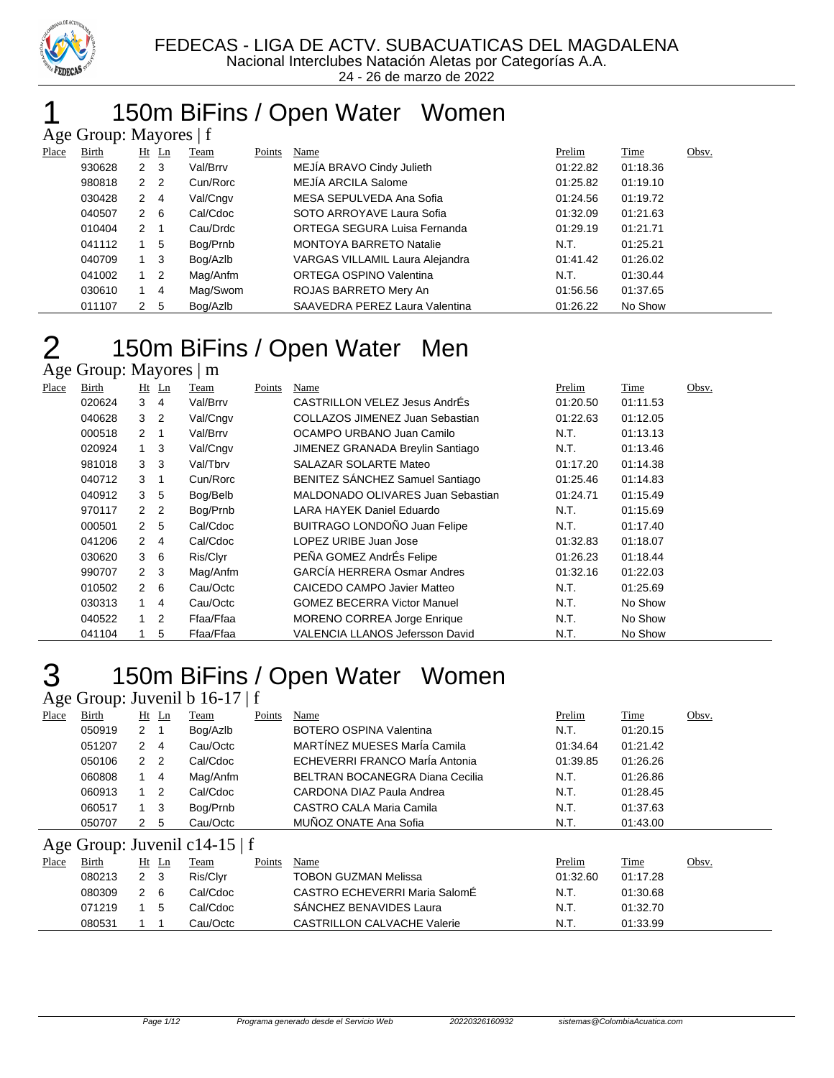

#### 150m BiFins / Open Water Women Age Group: Mayores | f

|       | $\Delta \xi$ C Oroup. Mayores   1 |                      |                |          |        |                                 |          |          |       |  |
|-------|-----------------------------------|----------------------|----------------|----------|--------|---------------------------------|----------|----------|-------|--|
| Place | Birth                             |                      | $Ht$ Ln        | Team     | Points | Name                            | Prelim   | Time     | Obsv. |  |
|       | 930628                            | $2 \quad 3$          |                | Val/Brrv |        | MEJIA BRAVO Cindy Julieth       | 01:22.82 | 01:18.36 |       |  |
|       | 980818                            | 2 2                  |                | Cun/Rorc |        | MEJÍA ARCILA Salome             | 01:25.82 | 01:19.10 |       |  |
|       | 030428                            | $\mathbf{2}^{\circ}$ | -4             | Val/Cngv |        | MESA SEPULVEDA Ana Sofia        | 01:24.56 | 01:19.72 |       |  |
|       | 040507                            | 2 6                  |                | Cal/Cdoc |        | SOTO ARROYAVE Laura Sofia       | 01:32.09 | 01:21.63 |       |  |
|       | 010404                            | 2                    |                | Cau/Drdc |        | ORTEGA SEGURA Luisa Fernanda    | 01:29.19 | 01:21.71 |       |  |
|       | 041112                            |                      | 5              | Bog/Prnb |        | <b>MONTOYA BARRETO Natalie</b>  | N.T.     | 01:25.21 |       |  |
|       | 040709                            | $1 \quad 3$          |                | Bog/Azlb |        | VARGAS VILLAMIL Laura Alejandra | 01:41.42 | 01:26.02 |       |  |
|       | 041002                            | $1\quad 2$           |                | Mag/Anfm |        | ORTEGA OSPINO Valentina         | N.T.     | 01:30.44 |       |  |
|       | 030610                            |                      | $\overline{4}$ | Mag/Swom |        | ROJAS BARRETO Mery An           | 01:56.56 | 01:37.65 |       |  |
|       | 011107                            | 2                    | -5             | Bog/Azlb |        | SAAVEDRA PEREZ Laura Valentina  | 01:26.22 | No Show  |       |  |
|       |                                   |                      |                |          |        |                                 |          |          |       |  |

### 150m BiFins / Open Water Men

Age Group: Mayores | m

| Place | Birth  |                      | $Ht$ Ln        | Team      | Points | Name                                | Prelim   | Time     | Obsv. |
|-------|--------|----------------------|----------------|-----------|--------|-------------------------------------|----------|----------|-------|
|       | 020624 | 3                    | $\overline{4}$ | Val/Brrv  |        | CASTRILLON VELEZ Jesus AndrÉs       | 01:20.50 | 01:11.53 |       |
|       | 040628 | 3                    | $\overline{2}$ | Val/Cngv  |        | COLLAZOS JIMENEZ Juan Sebastian     | 01:22.63 | 01:12.05 |       |
|       | 000518 | $\mathbf{2}$         | -1             | Val/Brrv  |        | OCAMPO URBANO Juan Camilo           | N.T.     | 01:13.13 |       |
|       | 020924 | $1 \quad 3$          |                | Val/Cngv  |        | JIMENEZ GRANADA Breylin Santiago    | N.T.     | 01:13.46 |       |
|       | 981018 | 3                    | $_{3}$         | Val/Tbrv  |        | SALAZAR SOLARTE Mateo               | 01:17.20 | 01:14.38 |       |
|       | 040712 | 3                    | -1             | Cun/Rorc  |        | BENITEZ SÁNCHEZ Samuel Santiago     | 01:25.46 | 01:14.83 |       |
|       | 040912 | 3                    | -5             | Bog/Belb  |        | MALDONADO OLIVARES Juan Sebastian   | 01:24.71 | 01:15.49 |       |
|       | 970117 | $\mathbf{2}^{\circ}$ | $\overline{2}$ | Bog/Prnb  |        | LARA HAYEK Daniel Eduardo           | N.T.     | 01:15.69 |       |
|       | 000501 | 2 <sub>5</sub>       |                | Cal/Cdoc  |        | <b>BUITRAGO LONDOÑO Juan Felipe</b> | N.T.     | 01:17.40 |       |
|       | 041206 | $\overline{2}$       | -4             | Cal/Cdoc  |        | LOPEZ URIBE Juan Jose               | 01:32.83 | 01:18.07 |       |
|       | 030620 | 3                    | - 6            | Ris/Clyr  |        | PEÑA GOMEZ AndrÉs Felipe            | 01:26.23 | 01:18.44 |       |
|       | 990707 | $2 \quad 3$          |                | Mag/Anfm  |        | <b>GARCÍA HERRERA Osmar Andres</b>  | 01:32.16 | 01:22.03 |       |
|       | 010502 | $2\quad 6$           |                | Cau/Octc  |        | CAICEDO CAMPO Javier Matteo         | N.T.     | 01:25.69 |       |
|       | 030313 | $\mathbf{1}$         | 4              | Cau/Octc  |        | <b>GOMEZ BECERRA Victor Manuel</b>  | N.T.     | No Show  |       |
|       | 040522 | $\overline{1}$       | 2              | Ffaa/Ffaa |        | <b>MORENO CORREA Jorge Enrique</b>  | N.T.     | No Show  |       |
|       | 041104 |                      | 5              | Ffaa/Ffaa |        | VALENCIA LLANOS Jefersson David     | N.T.     | No Show  |       |

# 150m BiFins / Open Water Women

|       |                               |               |                | Age Group: Juvenil b $16-17 \mid f$ |        |                                 |          |                      |       |  |
|-------|-------------------------------|---------------|----------------|-------------------------------------|--------|---------------------------------|----------|----------------------|-------|--|
| Place | Birth                         | Ht            | Ln             | Team                                | Points | Name                            | Prelim   | Time                 | Obsv. |  |
|       | 050919                        | $2 \quad 1$   |                | Bog/Azlb                            |        | <b>BOTERO OSPINA Valentina</b>  | N.T.     | 01:20.15             |       |  |
|       | 051207                        | 2             | 4              | Cau/Octc                            |        | MARTÍNEZ MUESES MarÍa Camila    | 01:34.64 | 01:21.42             |       |  |
|       | 050106                        | 2             | $\overline{2}$ | Cal/Cdoc                            |        | ECHEVERRI FRANCO María Antonia  | 01:39.85 | 01:26.26             |       |  |
|       | 060808                        |               | 4              | Mag/Anfm                            |        | BELTRAN BOCANEGRA Diana Cecilia | N.T.     | 01:26.86             |       |  |
|       | 060913                        |               | -2             | Cal/Cdoc                            |        | CARDONA DIAZ Paula Andrea       | N.T.     | 01:28.45             |       |  |
|       | 060517                        |               | -3             | Bog/Prnb                            |        | CASTRO CALA Maria Camila        | N.T.     | 01:37.63             |       |  |
|       | 050707                        | 2             | -5             | Cau/Octc                            |        | MUÑOZ ONATE Ana Sofia           | N.T.     | 01:43.00             |       |  |
|       | Age Group: Juvenil c14-15   f |               |                |                                     |        |                                 |          |                      |       |  |
| Place | Birth                         |               | $Ht$ Ln        | Team                                | Points | Name                            | Prelim   | Time                 | Obsv. |  |
|       | $\cdots$                      | $\sim$ $\sim$ |                | י יה                                |        | _____________________           | .        | $\sim$ $\sim$ $\sim$ |       |  |

#### 2 3 Ris/Clyr TOBON GUZMAN Melissa 01:32.60 01:17.28 080309 2 6 Cal/Cdoc CASTRO ECHEVERRI Maria SalomÉ N.T. 01:30.68 071219 1 5 Cal/Cdoc SÁNCHEZ BENAVIDES Laura N.T. 01:32.70 080531 1 1 Cau/Octc CASTRILLON CALVACHE Valerie N.T. 01:33.99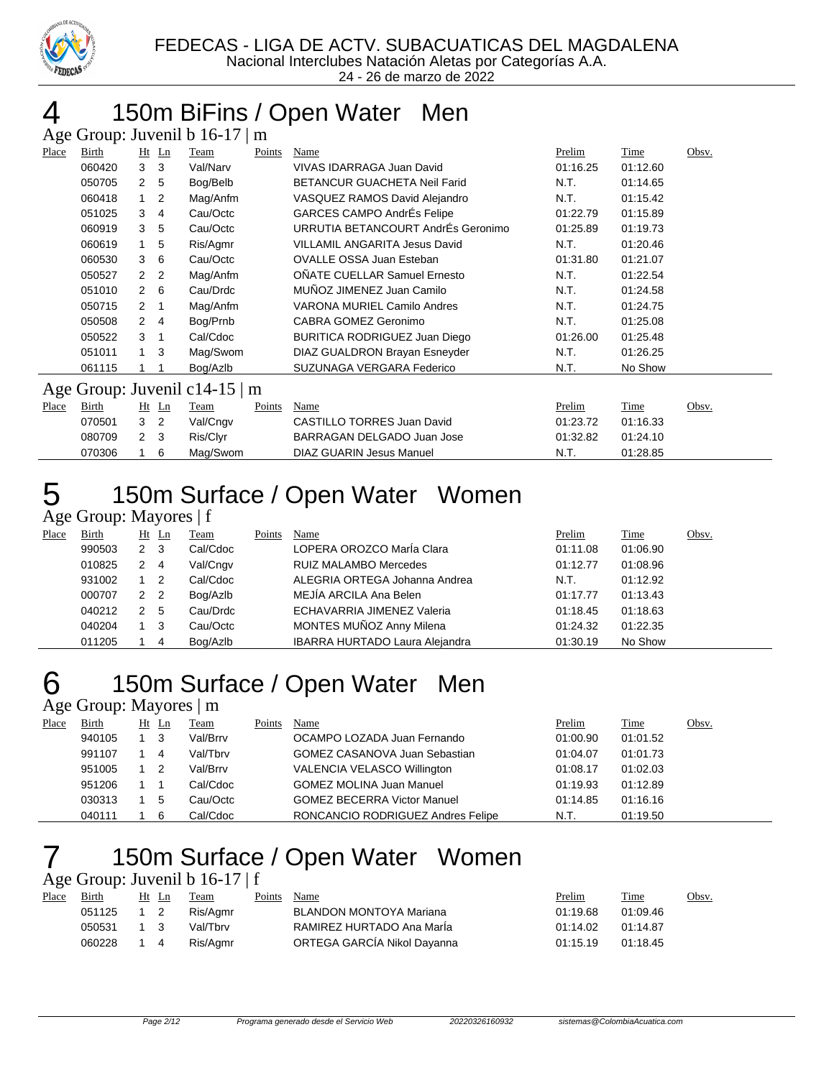

### 150m BiFins / Open Water Men

|       | Age Group: Juvenil b 16-17   m |                      |                |                               |        |                                     |          |          |       |  |
|-------|--------------------------------|----------------------|----------------|-------------------------------|--------|-------------------------------------|----------|----------|-------|--|
| Place | Birth                          |                      | $Ht$ Ln        | Team                          | Points | Name                                | Prelim   | Time     | Obsv. |  |
|       | 060420                         | 3                    | 3              | Val/Narv                      |        | VIVAS IDARRAGA Juan David           | 01:16.25 | 01:12.60 |       |  |
|       | 050705                         | $\mathbf{2}$         | - 5            | Bog/Belb                      |        | <b>BETANCUR GUACHETA Neil Farid</b> | N.T.     | 01:14.65 |       |  |
|       | 060418                         | 1                    | $\overline{2}$ | Mag/Anfm                      |        | VASQUEZ RAMOS David Alejandro       | N.T.     | 01:15.42 |       |  |
|       | 051025                         | 3                    | 4              | Cau/Octc                      |        | <b>GARCES CAMPO AndrÉs Felipe</b>   | 01:22.79 | 01:15.89 |       |  |
|       | 060919                         | 3                    | 5              | Cau/Octc                      |        | URRUTIA BETANCOURT AndrÉs Geronimo  | 01:25.89 | 01:19.73 |       |  |
|       | 060619                         | 1                    | 5              | Ris/Agmr                      |        | VILLAMIL ANGARITA Jesus David       | N.T.     | 01:20.46 |       |  |
|       | 060530                         | 3                    | 6              | Cau/Octc                      |        | <b>OVALLE OSSA Juan Esteban</b>     | 01:31.80 | 01:21.07 |       |  |
|       | 050527                         | $\mathcal{P}$        | $\overline{2}$ | Mag/Anfm                      |        | OÑATE CUELLAR Samuel Ernesto        | N.T.     | 01:22.54 |       |  |
|       | 051010                         | $\mathbf{2}^{\circ}$ | - 6            | Cau/Drdc                      |        | MUÑOZ JIMENEZ Juan Camilo           | N.T.     | 01:24.58 |       |  |
|       | 050715                         | $\overline{2}$       |                | Mag/Anfm                      |        | VARONA MURIEL Camilo Andres         | N.T.     | 01:24.75 |       |  |
|       | 050508                         | $\overline{2}$       | 4              | Bog/Prnb                      |        | CABRA GOMEZ Geronimo                | N.T.     | 01:25.08 |       |  |
|       | 050522                         | 3                    | -1             | Cal/Cdoc                      |        | BURITICA RODRIGUEZ Juan Diego       | 01:26.00 | 01:25.48 |       |  |
|       | 051011                         | $\overline{1}$       | 3              | Mag/Swom                      |        | DIAZ GUALDRON Brayan Esneyder       | N.T.     | 01:26.25 |       |  |
|       | 061115                         |                      |                | Bog/Azlb                      |        | SUZUNAGA VERGARA Federico           | N.T.     | No Show  |       |  |
|       |                                |                      |                | Age Group: Juvenil c14-15   m |        |                                     |          |          |       |  |
| Place | Birth                          |                      | $Ht$ Ln        | Team                          | Points | Name                                | Prelim   | Time     | Obsv. |  |
|       | 070501                         | 3                    | 2              | Val/Cngv                      |        | <b>CASTILLO TORRES Juan David</b>   | 01:23.72 | 01:16.33 |       |  |

 2 3 Ris/Clyr BARRAGAN DELGADO Juan Jose 01:32.82 01:24.10 1 6 Mag/Swom DIAZ GUARIN Jesus Manuel N.T. 01:28.85

# 150m Surface / Open Water Women

Age Group: Mayores | f

| Place | Birth  |   | $Ht$ Ln        | Team     | Points | Name                                  | Prelim   | Time     | Obsv. |
|-------|--------|---|----------------|----------|--------|---------------------------------------|----------|----------|-------|
|       | 990503 | 2 | - 3            | Cal/Cdoc |        | LOPERA OROZCO MarÍa Clara             | 01:11.08 | 01:06.90 |       |
|       | 010825 | 2 | $\overline{4}$ | Val/Cngv |        | <b>RUIZ MALAMBO Mercedes</b>          | 01:12.77 | 01:08.96 |       |
|       | 931002 |   | $\overline{2}$ | Cal/Cdoc |        | ALEGRIA ORTEGA Johanna Andrea         | N.T.     | 01:12.92 |       |
|       | 000707 | 2 | $\overline{2}$ | Bog/Azlb |        | MEJÍA ARCILA Ana Belen                | 01:17.77 | 01:13.43 |       |
|       | 040212 | 2 | -5             | Cau/Drdc |        | <b>ECHAVARRIA JIMENEZ Valeria</b>     | 01:18.45 | 01:18.63 |       |
|       | 040204 |   | -3             | Cau/Octc |        | MONTES MUÑOZ Anny Milena              | 01:24.32 | 01:22.35 |       |
|       | 011205 |   | 4              | Bog/Azlb |        | <b>IBARRA HURTADO Laura Alejandra</b> | 01:30.19 | No Show  |       |

### 150m Surface / Open Water Men

Age Group: Mayores | m

| Place | Birth  | Ht | Ln | <b>Team</b> | Points | Name                                 | Prelim   | <u>Time</u> | Obsv. |
|-------|--------|----|----|-------------|--------|--------------------------------------|----------|-------------|-------|
|       | 940105 |    |    | Val/Brrv    |        | OCAMPO LOZADA Juan Fernando          | 01:00.90 | 01:01.52    |       |
|       | 991107 |    | 4  | Val/Tbrv    |        | <b>GOMEZ CASANOVA Juan Sebastian</b> | 01:04.07 | 01:01.73    |       |
|       | 951005 |    |    | Val/Brrv    |        | VALENCIA VELASCO Willington          | 01:08.17 | 01:02.03    |       |
|       | 951206 |    |    | Cal/Cdoc    |        | <b>GOMEZ MOLINA Juan Manuel</b>      | 01:19.93 | 01:12.89    |       |
|       | 030313 |    | 5  | Cau/Octc    |        | <b>GOMEZ BECERRA Victor Manuel</b>   | 01:14.85 | 01:16.16    |       |
|       | 040111 |    | 6  | Cal/Cdoc    |        | RONCANCIO RODRIGUEZ Andres Felipe    | N.T.     | 01:19.50    |       |

# 150m Surface / Open Water Women

Age Group: Juvenil b 16-17 | f

| Place | Birth  |             | Ht Ln | Team     | Points | Name                           | Prelim   | Time     | Obsv. |
|-------|--------|-------------|-------|----------|--------|--------------------------------|----------|----------|-------|
|       | 051125 | $1\quad 2$  |       | Ris/Aamr |        | <b>BLANDON MONTOYA Mariana</b> | 01:19.68 | 01:09.46 |       |
|       | 050531 | $1 \quad 3$ |       | Val/Tbrv |        | RAMIREZ HURTADO Ana MarÍa      | 01:14.02 | 01:14.87 |       |
|       | 060228 | 1 4         |       | Ris/Agmr |        | ORTEGA GARCÍA Nikol Dayanna    | 01:15.19 | 01:18.45 |       |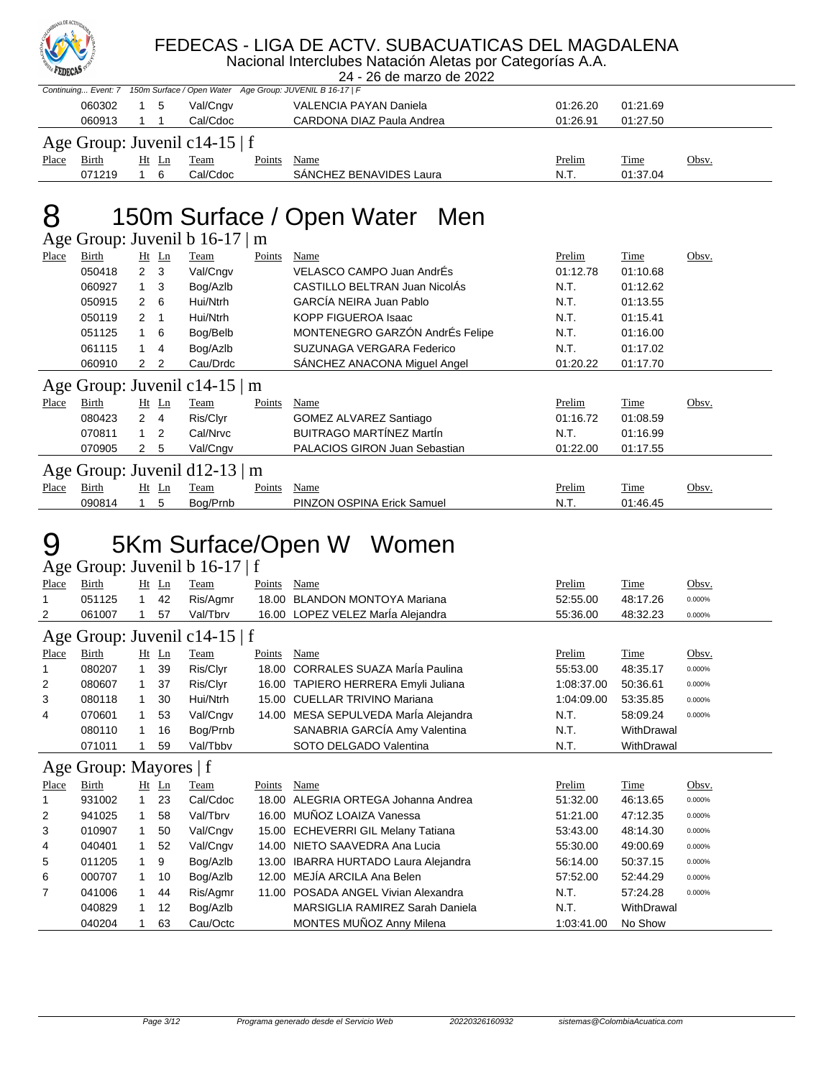

#### FEDECAS - LIGA DE ACTV. SUBACUATICAS DEL MAGDALENA

Nacional Interclubes Natación Aletas por Categorías A.A. 24 - 26 de marzo de 2022

|       |                                    |     |       |          |        | Continuing Event: 7 150m Surface / Open Water Age Group: JUVENIL B 16-17   F |          |          |       |  |
|-------|------------------------------------|-----|-------|----------|--------|------------------------------------------------------------------------------|----------|----------|-------|--|
|       | 060302                             | 1 5 |       | Val/Cngv |        | VALENCIA PAYAN Daniela                                                       | 01:26.20 | 01:21.69 |       |  |
|       | 060913                             |     |       | Cal/Cdoc |        | CARDONA DIAZ Paula Andrea                                                    | 01:26.91 | 01:27.50 |       |  |
|       | Age Group: Juvenil c14-15 $\mid$ f |     |       |          |        |                                                                              |          |          |       |  |
| Place | Birth                              |     | Ht Ln | Team     | Points | Name                                                                         | Prelim   | Time     | Obsv. |  |
|       | 071219                             |     | 6     | Cal/Cdoc |        | SANCHEZ BENAVIDES Laura                                                      | N.T.     | 01:37.04 |       |  |

### 8 150m Surface / Open Water Men

Age Group: Juvenil b 16-17 | m

| Place | Birth  |                      | Ht Ln          | Team                               | Points | Name                                 | Prelim   | Time        | Obsv. |
|-------|--------|----------------------|----------------|------------------------------------|--------|--------------------------------------|----------|-------------|-------|
|       | 050418 | $2 \quad 3$          |                | Val/Cngv                           |        | VELASCO CAMPO Juan AndrÉs            | 01:12.78 | 01:10.68    |       |
|       | 060927 | 1.                   | -3             | Bog/Azlb                           |        | CASTILLO BELTRAN Juan NicolÁs        | N.T.     | 01:12.62    |       |
|       | 050915 | $\overline{2}$       | 6              | Hui/Ntrh                           |        | GARCÍA NEIRA Juan Pablo              | N.T.     | 01:13.55    |       |
|       | 050119 | $\mathbf{2}^{\circ}$ |                | Hui/Ntrh                           |        | <b>KOPP FIGUEROA Isaac</b>           | N.T.     | 01:15.41    |       |
|       | 051125 |                      | - 6            | Bog/Belb                           |        | MONTENEGRO GARZÓN AndrÉs Felipe      | N.T.     | 01:16.00    |       |
|       | 061115 |                      | $\overline{4}$ | Bog/Azlb                           |        | SUZUNAGA VERGARA Federico            | N.T.     | 01:17.02    |       |
|       | 060910 | 2                    | $\overline{2}$ | Cau/Drdc                           |        | SÁNCHEZ ANACONA Miquel Angel         | 01:20.22 | 01:17.70    |       |
|       |        |                      |                | Age Group: Juvenil c14-15 $\mid$ m |        |                                      |          |             |       |
| Place | Birth  |                      | $Ht$ Ln        | Team                               | Points | Name                                 | Prelim   | Time        | Obsv. |
|       | 080423 | $\mathbf{2}$         | -4             | Ris/Clyr                           |        | GOMEZ ALVAREZ Santiago               | 01:16.72 | 01:08.59    |       |
|       | 070811 | $\overline{1}$       | $\overline{2}$ | Cal/Nrvc                           |        | <b>BUITRAGO MARTÍNEZ MartÍn</b>      | N.T.     | 01:16.99    |       |
|       | 070905 | 2                    | - 5            | Val/Cngv                           |        | <b>PALACIOS GIRON Juan Sebastian</b> | 01:22.00 | 01:17.55    |       |
|       |        |                      |                | Age Group: Juvenil $d12-13 \mid m$ |        |                                      |          |             |       |
| Place | Birth  |                      | $Ht$ Ln        | Team                               | Points | Name                                 | Prelim   | <b>Time</b> | Obsv. |
|       |        |                      |                |                                    |        |                                      |          |             |       |

### 5Km Surface/Open W Women

#### Age Group: Juvenil b 16-17 | f

| Place                         | <b>Birth</b>           | Ht           | Ln      | Team     | Points | Name                                  | Prelim     | Time        | Obsv.  |
|-------------------------------|------------------------|--------------|---------|----------|--------|---------------------------------------|------------|-------------|--------|
| 1                             | 051125                 | 1            | 42      | Ris/Agmr | 18.00  | <b>BLANDON MONTOYA Mariana</b>        | 52:55.00   | 48:17.26    | 0.000% |
| 2                             | 061007                 |              | 57      | Val/Tbrv |        | 16.00 LOPEZ VELEZ María Alejandra     | 55:36.00   | 48:32.23    | 0.000% |
| Age Group: Juvenil c14-15   f |                        |              |         |          |        |                                       |            |             |        |
| Place                         | Birth                  |              | $Ht$ Ln | Team     | Points | Name                                  | Prelim     | <b>Time</b> | Obsv.  |
|                               | 080207                 | $\mathbf{1}$ | 39      | Ris/Clyr | 18.00  | <b>CORRALES SUAZA María Paulina</b>   | 55:53.00   | 48:35.17    | 0.000% |
| 2                             | 080607                 | $\mathbf 1$  | -37     | Ris/Clyr | 16.00  | TAPIERO HERRERA Emyli Juliana         | 1:08:37.00 | 50:36.61    | 0.000% |
| 3                             | 080118                 | 1.           | 30      | Hui/Ntrh | 15.00  | <b>CUELLAR TRIVINO Mariana</b>        | 1:04:09.00 | 53:35.85    | 0.000% |
| 4                             | 070601                 | $\mathbf{1}$ | 53      | Val/Cngv |        | 14.00 MESA SEPULVEDA MarÍa Alejandra  | N.T.       | 58:09.24    | 0.000% |
|                               | 080110                 | $\mathbf{1}$ | 16      | Bog/Prnb |        | SANABRIA GARCÍA Amy Valentina         | N.T.       | WithDrawal  |        |
|                               | 071011                 |              | 59      | Val/Tbbv |        | SOTO DELGADO Valentina                | N.T.       | WithDrawal  |        |
|                               | Age Group: Mayores   f |              |         |          |        |                                       |            |             |        |
| Place                         | <b>Birth</b>           |              | $Ht$ Ln | Team     | Points | <b>Name</b>                           | Prelim     | <b>Time</b> | Obsv.  |
| 1                             | 931002                 | $\mathbf{1}$ | 23      | Cal/Cdoc |        | 18.00 ALEGRIA ORTEGA Johanna Andrea   | 51:32.00   | 46:13.65    | 0.000% |
| 2                             | 941025                 | 1            | 58      | Val/Tbrv |        | 16.00 MUÑOZ LOAIZA Vanessa            | 51:21.00   | 47:12.35    | 0.000% |
| 3                             | 010907                 | $\mathbf{1}$ | 50      | Val/Cngv |        |                                       |            |             | 0.000% |
| 4                             |                        |              |         |          |        | 15.00 ECHEVERRI GIL Melany Tatiana    | 53:43.00   | 48:14.30    |        |
|                               | 040401                 | 1            | 52      | Val/Cngv | 14.00  | NIETO SAAVEDRA Ana Lucia              | 55:30.00   | 49:00.69    | 0.000% |
| 5                             | 011205                 | 1.           | 9       | Bog/Azlb | 13.00  | <b>IBARRA HURTADO Laura Alejandra</b> | 56:14.00   | 50:37.15    | 0.000% |
| 6                             | 000707                 |              | 10      | Bog/Azlb | 12.00  | MEJÍA ARCILA Ana Belen                | 57:52.00   | 52:44.29    | 0.000% |
| 7                             | 041006                 | 1.           | 44      | Ris/Agmr | 11.00  | POSADA ANGEL Vivian Alexandra         | N.T.       | 57:24.28    | 0.000% |
|                               | 040829                 | 1.           | 12      | Bog/Azlb |        | MARSIGLIA RAMIREZ Sarah Daniela       | N.T.       | WithDrawal  |        |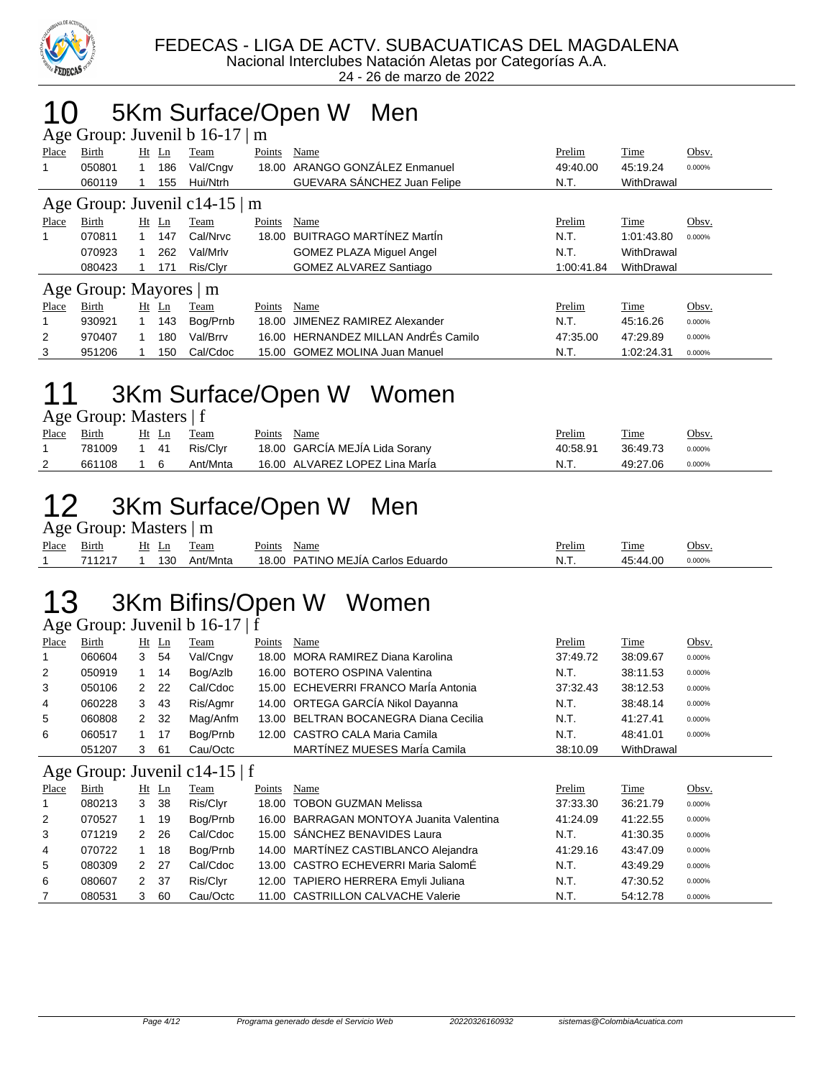

### 10 5Km Surface/Open W Men

| Age Group: Juvenil b $16-17 \mid m$ |                        |         |     |          |        |                                 |            |            |        |  |
|-------------------------------------|------------------------|---------|-----|----------|--------|---------------------------------|------------|------------|--------|--|
| Place                               | Birth                  | $Ht$ Ln |     | Team     | Points | Name                            | Prelim     | Time       | Obsv.  |  |
| 1                                   | 050801                 |         | 186 | Val/Cngv | 18.00  | ARANGO GONZÁLEZ Enmanuel        | 49:40.00   | 45:19.24   | 0.000% |  |
|                                     | 060119                 |         | 155 | Hui/Ntrh |        | GUEVARA SÁNCHEZ Juan Felipe     | N.T.       | WithDrawal |        |  |
| Age Group: Juvenil c14-15 $\mid$ m  |                        |         |     |          |        |                                 |            |            |        |  |
| Place                               | Birth                  | $Ht$ Ln |     | Team     | Points | Name                            | Prelim     | Time       | Obsv.  |  |
|                                     | 070811                 |         | 147 | Cal/Nrvc | 18.00  | BUITRAGO MARTÍNEZ MartÍn        | N.T.       | 1:01:43.80 | 0.000% |  |
|                                     | 070923                 |         | 262 | Val/Mrlv |        | <b>GOMEZ PLAZA Miguel Angel</b> | N.T.       | WithDrawal |        |  |
|                                     | 080423                 |         | 171 | Ris/Clyr |        | <b>GOMEZ ALVAREZ Santiago</b>   | 1:00:41.84 | WithDrawal |        |  |
|                                     | Age Group: Mayores   m |         |     |          |        |                                 |            |            |        |  |
| Place                               | Birth                  | Ht      | Ln  | Team     | Points | Name                            | Prelim     | Time       | Obsv.  |  |
|                                     | 930921                 |         | 143 | Bog/Prnb | 18.00  | JIMENEZ RAMIREZ Alexander       | N.T.       | 45:16.26   | 0.000% |  |
| 2                                   | 970407                 |         | 180 | Val/Brrv | 16.00  | HERNANDEZ MILLAN AndrÉs Camilo  | 47:35.00   | 47:29.89   | 0.000% |  |
| 3                                   | 951206                 |         | 150 | Cal/Cdoc |        | 15.00 GOMEZ MOLINA Juan Manuel  | N.T.       | 1:02:24.31 | 0.000% |  |

### 11 3Km Surface/Open W Women

| Age Group: Masters   f |  |  |
|------------------------|--|--|
|------------------------|--|--|

| Place | <u>Birth</u> |              | Ht Ln | Team     | Points Name |                                | Prelim   | <b>Time</b> | Obsv.  |
|-------|--------------|--------------|-------|----------|-------------|--------------------------------|----------|-------------|--------|
|       | 781009       | $1 \quad 41$ |       | Ris/Clvr |             | 18.00 GARCÍA MEJÍA Lida Sorany | 40:58.91 | 36:49.73    | 0.000% |
|       | 661108 1 6   |              |       | Ant/Mnta |             | 16.00 ALVAREZ LOPEZ Lina Marla | N.T.     | 49:27.06    | 0.000% |

### 12 3Km Surface/Open W Men

Age Group: Masters | m

| -     |                 |         |                    |                                    |                                            |         |                 |        |
|-------|-----------------|---------|--------------------|------------------------------------|--------------------------------------------|---------|-----------------|--------|
| Place | $\sim$<br>Bırth | H۱<br>∸ | eam                | $\overline{\phantom{a}}$<br>'oints | Name                                       | Prelim  | $\sim$<br>. ime | Obsv   |
|       | $.404 -$        | 130     | $\sim$<br>Ant/Mnta | 18.00                              | <b>PATINO MEJÍA (</b><br>Eduardo<br>Carlos | NL<br>. | • л л           | 0.000% |

# 13 3Km Bifins/Open W Women

Age Group: Juvenil b 16-17 | f

|                |        |    |     | $\frac{1}{2}$ $\frac{1}{2}$ $\frac{1}{2}$ $\frac{1}{2}$ $\frac{1}{2}$ $\frac{1}{2}$ $\frac{1}{2}$ $\frac{1}{2}$ $\frac{1}{2}$ $\frac{1}{2}$ $\frac{1}{2}$ $\frac{1}{2}$ |        |                                       |          |            |        |
|----------------|--------|----|-----|-------------------------------------------------------------------------------------------------------------------------------------------------------------------------|--------|---------------------------------------|----------|------------|--------|
| Place          | Birth  | Ht | Ln  | Team                                                                                                                                                                    | Points | Name                                  | Prelim   | Time       | Obsv.  |
|                | 060604 | 3  | 54  | Val/Cngv                                                                                                                                                                |        | 18.00 MORA RAMIREZ Diana Karolina     | 37:49.72 | 38:09.67   | 0.000% |
| $\overline{2}$ | 050919 |    | 14  | Bog/Azlb                                                                                                                                                                |        | 16.00 BOTERO OSPINA Valentina         | N.T.     | 38:11.53   | 0.000% |
| 3              | 050106 | 2  | 22  | Cal/Cdoc                                                                                                                                                                |        | 15.00 ECHEVERRI FRANCO María Antonia  | 37:32.43 | 38:12.53   | 0.000% |
| 4              | 060228 | 3  | 43  | Ris/Agmr                                                                                                                                                                |        | 14.00 ORTEGA GARCÍA Nikol Dayanna     | N.T.     | 38:48.14   | 0.000% |
| 5              | 060808 | 2  | 32  | Mag/Anfm                                                                                                                                                                |        | 13.00 BELTRAN BOCANEGRA Diana Cecilia | N.T.     | 41:27.41   | 0.000% |
| 6              | 060517 |    | 17  | Bog/Prnb                                                                                                                                                                |        | 12.00 CASTRO CALA Maria Camila        | N.T.     | 48:41.01   | 0.000% |
|                | 051207 | 3  | -61 | Cau/Octc                                                                                                                                                                |        | MARTÍNEZ MUESES MarÍa Camila          | 38:10.09 | WithDrawal |        |

#### Age Group: Juvenil c14-15 | f

| Place | Birth  |   | Ht Ln | <b>Team</b> | Points | Name                                     | Prelim   | Time     | Obsv.  |
|-------|--------|---|-------|-------------|--------|------------------------------------------|----------|----------|--------|
|       | 080213 | 3 | 38    | Ris/Clyr    |        | 18.00 TOBON GUZMAN Melissa               | 37:33.30 | 36:21.79 | 0.000% |
| 2     | 070527 |   | 19    | Bog/Prnb    |        | 16.00 BARRAGAN MONTOYA Juanita Valentina | 41:24.09 | 41:22.55 | 0.000% |
| 3     | 071219 | 2 | -26   | Cal/Cdoc    |        | 15.00 SÁNCHEZ BENAVIDES Laura            | N.T.     | 41:30.35 | 0.000% |
| 4     | 070722 |   | 18    | Bog/Prnb    |        | 14.00 MARTÍNEZ CASTIBLANCO Alejandra     | 41:29.16 | 43:47.09 | 0.000% |
| 5     | 080309 | 2 | - 27  | Cal/Cdoc    |        | 13.00 CASTRO ECHEVERRI Maria SalomÉ      | N.T.     | 43:49.29 | 0.000% |
| 6     | 080607 | 2 | - 37  | Ris/Clyr    |        | 12.00 TAPIERO HERRERA Emyli Juliana      | N.T.     | 47:30.52 | 0.000% |
| 7     | 080531 | 3 | 60    | Cau/Octc    |        | 11.00 CASTRILLON CALVACHE Valerie        | N.T.     | 54:12.78 | 0.000% |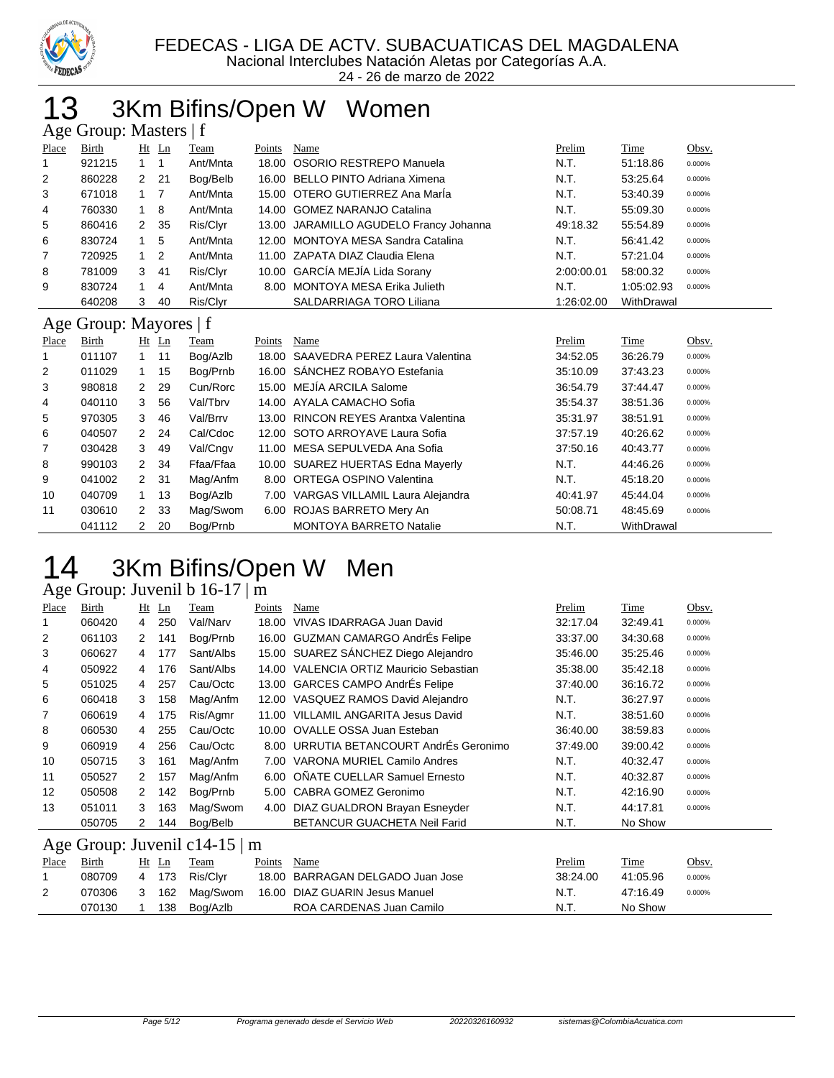

24 - 26 de marzo de 2022

### 13 3Km Bifins/Open W Women

|       | Age Group: Masters   f |              |         |                    |        |                                        |            |            |                    |  |  |
|-------|------------------------|--------------|---------|--------------------|--------|----------------------------------------|------------|------------|--------------------|--|--|
| Place | Birth                  |              | $Ht$ Ln | Team               | Points | Name                                   | Prelim     | Time       | Obsv.              |  |  |
|       | 921215                 |              |         | Ant/Mnta           |        | 18.00 OSORIO RESTREPO Manuela          | N.T.       | 51:18.86   | 0.000%             |  |  |
| 2     | 860228                 |              | 2 21    | Bog/Belb           |        | 16.00 BELLO PINTO Adriana Ximena       | N.T.       | 53:25.64   | 0.000%             |  |  |
| 3     | 671018                 | $1 \quad 7$  |         | Ant/Mnta           |        | 15.00 OTERO GUTIERREZ Ana Maria        | N.T.       | 53:40.39   | 0.000%             |  |  |
| 4     | 760330                 | $1 \quad 8$  |         | Ant/Mnta           |        | 14.00 GOMEZ NARANJO Catalina           | N.T.       | 55:09.30   | 0.000%             |  |  |
| 5     | 860416                 | $\mathbf{2}$ | 35      | Ris/Clyr           |        | 13.00 JARAMILLO AGUDELO Francy Johanna | 49:18.32   | 55:54.89   | 0.000%             |  |  |
| 6     | 830724                 |              | 5       | Ant/Mnta           |        | 12.00 MONTOYA MESA Sandra Catalina     | N.T.       | 56:41.42   | 0.000%             |  |  |
| 7     | 720925                 | $1\quad 2$   |         | Ant/Mnta           |        | 11.00 ZAPATA DIAZ Claudia Elena        | N.T.       | 57:21.04   | 0.000%             |  |  |
| 8     | 781009                 | 3            | -41     | Ris/Clyr           |        | 10.00 GARCÍA MEJÍA Lida Sorany         | 2:00:00.01 | 58:00.32   | 0.000%             |  |  |
| 9     | 830724                 | 1            | 4       | Ant/Mnta           | 8.00   | MONTOYA MESA Erika Julieth             | N.T.       | 1:05:02.93 | 0.000%             |  |  |
|       | 640208                 | 3            | 40      | Ris/Clyr           |        | SALDARRIAGA TORO Liliana               | 1:26:02.00 | WithDrawal |                    |  |  |
|       | Age Group: Mayores   f |              |         |                    |        |                                        |            |            |                    |  |  |
| Place | <b>Birth</b>           |              | $Ht$ Ln | Team               | Points | Name                                   | Prelim     | Time       | Obsv.              |  |  |
|       | 011107                 |              | 11      | $R_0a/\Delta z$ lh | 18. NO | CAAVEDRA PEREZ Laura Valentina         | 31.5205    | 36.26.70   | n nnn <sub>%</sub> |  |  |

| .              | $-11$  | $\cdots$             | <u>——</u> | 1.9711    | . | 1.101110                             | .        | $\overline{\phantom{a}}$ | $rac{1}{2}$ |
|----------------|--------|----------------------|-----------|-----------|---|--------------------------------------|----------|--------------------------|-------------|
| 1              | 011107 |                      | 11        | Bog/Azlb  |   | 18.00 SAAVEDRA PEREZ Laura Valentina | 34:52.05 | 36:26.79                 | 0.000%      |
| 2              | 011029 |                      | 15        | Bog/Prnb  |   | 16.00 SÁNCHEZ ROBAYO Estefania       | 35:10.09 | 37:43.23                 | 0.000%      |
| 3              | 980818 | 2                    | -29       | Cun/Rorc  |   | 15.00 MEJÍA ARCILA Salome            | 36:54.79 | 37:44.47                 | 0.000%      |
| $\overline{4}$ | 040110 | 3                    | 56        | Val/Tbrv  |   | 14.00 AYALA CAMACHO Sofia            | 35:54.37 | 38:51.36                 | 0.000%      |
| 5              | 970305 | 3                    | 46        | Val/Brrv  |   | 13.00 RINCON REYES Arantxa Valentina | 35:31.97 | 38:51.91                 | 0.000%      |
| 6              | 040507 | 2                    | -24       | Cal/Cdoc  |   | 12.00 SOTO ARROYAVE Laura Sofia      | 37:57.19 | 40:26.62                 | 0.000%      |
| $\overline{7}$ | 030428 | 3                    | 49        | Val/Cngv  |   | 11.00 MESA SEPULVEDA Ana Sofia       | 37:50.16 | 40:43.77                 | 0.000%      |
| 8              | 990103 | 2                    | -34       | Ffaa/Ffaa |   | 10.00 SUAREZ HUERTAS Edna Mayerly    | N.T.     | 44:46.26                 | 0.000%      |
| 9              | 041002 | 2                    | -31       | Mag/Anfm  |   | 8.00 ORTEGA OSPINO Valentina         | N.T.     | 45:18.20                 | 0.000%      |
| 10             | 040709 |                      | 13        | Bog/Azlb  |   | 7.00 VARGAS VILLAMIL Laura Alejandra | 40:41.97 | 45:44.04                 | 0.000%      |
| 11             | 030610 | 2                    | - 33      | Mag/Swom  |   | 6.00 ROJAS BARRETO Mery An           | 50:08.71 | 48:45.69                 | 0.000%      |
|                | 041112 | $\mathbf{2}^{\circ}$ | 20        | Bog/Prnb  |   | <b>MONTOYA BARRETO Natalie</b>       | N.T.     | WithDrawal               |             |

### 14 3Km Bifins/Open W Men

#### Age Group: Juvenil b 16-17 | m

| Place | Birth                    |                      | $Ht$ Ln | Team      | Points | Name                                    | Prelim   | Time     | Obsv.  |
|-------|--------------------------|----------------------|---------|-----------|--------|-----------------------------------------|----------|----------|--------|
|       | 060420                   | 4                    | 250     | Val/Narv  | 18.00  | VIVAS IDARRAGA Juan David               | 32:17.04 | 32:49.41 | 0.000% |
| 2     | 061103                   | $\mathbf{2}^{\circ}$ | 141     | Bog/Prnb  |        | 16.00 GUZMAN CAMARGO AndrÉs Felipe      | 33:37.00 | 34:30.68 | 0.000% |
| 3     | 060627                   | 4                    | 177     | Sant/Albs |        | 15.00 SUAREZ SÁNCHEZ Diego Alejandro    | 35:46.00 | 35:25.46 | 0.000% |
| 4     | 050922                   | 4                    | 176     | Sant/Albs |        | 14.00 VALENCIA ORTIZ Mauricio Sebastian | 35:38.00 | 35:42.18 | 0.000% |
| 5     | 051025                   | 4                    | 257     | Cau/Octc  |        | 13.00 GARCES CAMPO AndrEs Felipe        | 37:40.00 | 36:16.72 | 0.000% |
| 6     | 060418                   | 3                    | 158     | Mag/Anfm  |        | 12.00 VASQUEZ RAMOS David Alejandro     | N.T.     | 36:27.97 | 0.000% |
| 7     | 060619                   | 4                    | 175     | Ris/Agmr  |        | 11.00 VILLAMIL ANGARITA Jesus David     | N.T.     | 38:51.60 | 0.000% |
| 8     | 060530                   | 4                    | 255     | Cau/Octc  |        | 10.00 OVALLE OSSA Juan Esteban          | 36:40.00 | 38:59.83 | 0.000% |
| 9     | 060919                   | 4                    | 256     | Cau/Octc  |        | 8.00 URRUTIA BETANCOURT AndrÉs Geronimo | 37:49.00 | 39:00.42 | 0.000% |
| 10    | 050715                   | 3                    | 161     | Mag/Anfm  |        | 7.00 VARONA MURIEL Camilo Andres        | N.T.     | 40:32.47 | 0.000% |
| 11    | 050527                   | 2                    | 157     | Mag/Anfm  |        | 6.00 ONATE CUELLAR Samuel Ernesto       | N.T.     | 40:32.87 | 0.000% |
| 12    | 050508                   | 2                    | 142     | Bog/Prnb  |        | 5.00 CABRA GOMEZ Geronimo               | N.T.     | 42:16.90 | 0.000% |
| 13    | 051011                   | 3                    | 163     | Mag/Swom  |        | 4.00 DIAZ GUALDRON Brayan Esneyder      | N.T.     | 44.17.81 | 0.000% |
|       | 050705                   | 2                    | 144     | Bog/Belb  |        | <b>BETANCUR GUACHETA Neil Farid</b>     | N.T.     | No Show  |        |
|       | $\overline{\phantom{0}}$ |                      | $\sim$  | .         |        |                                         |          |          |        |

#### Age Group: Juvenil c14-15 | m

| Place | Birth  | Ht Ln | Team           | Points | Name                             | Prelim   | Time     | <u>Obsv.</u> |
|-------|--------|-------|----------------|--------|----------------------------------|----------|----------|--------------|
|       | 080709 |       | 4 173 Ris/Clvr |        | 18.00 BARRAGAN DELGADO Juan Jose | 38:24.00 | 41:05.96 | 0.000%       |
|       | 070306 |       | 3 162 Maq/Swom |        | 16.00 DIAZ GUARIN Jesus Manuel   | N.T.     | 47:16.49 | 0.000%       |
|       | 070130 | 138   | Bog/Azlb       |        | ROA CARDENAS Juan Camilo         | . N.T    | No Show  |              |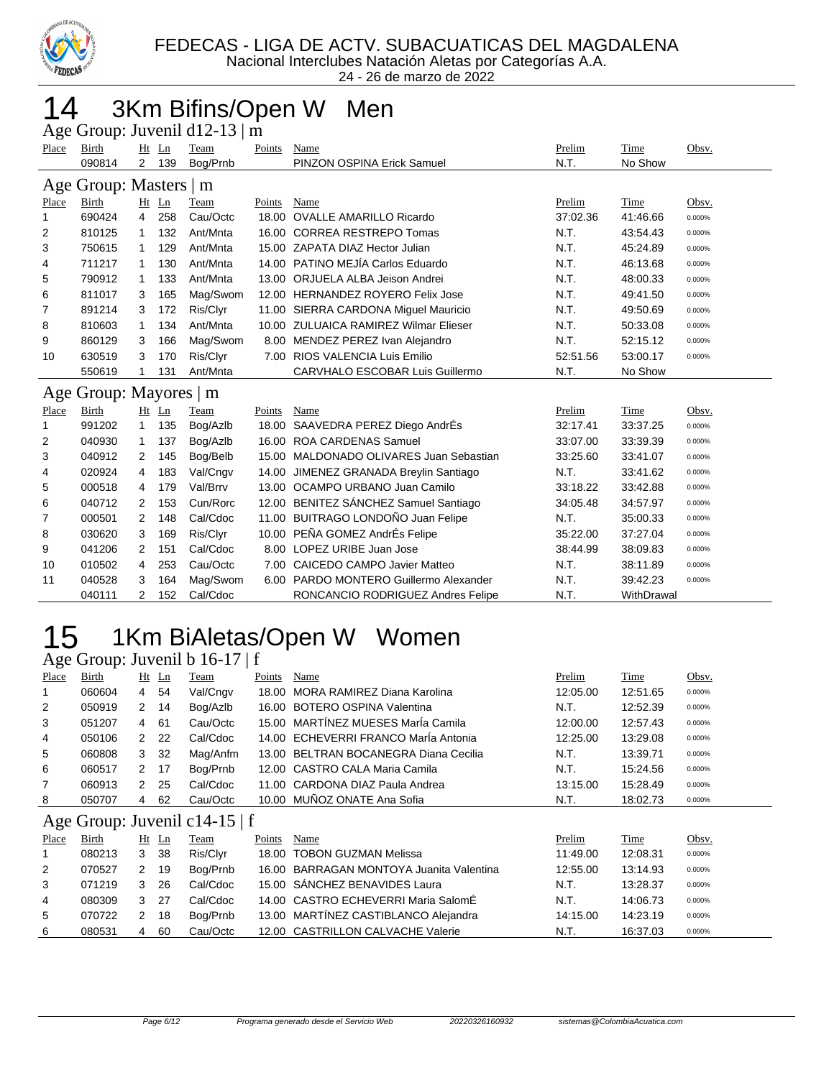

24 - 26 de marzo de 2022

### 14 3Km Bifins/Open W Men

|       |                        |                |       | Age Group: Juvenil d12-13   m |        |                                         |          |            |        |
|-------|------------------------|----------------|-------|-------------------------------|--------|-----------------------------------------|----------|------------|--------|
| Place | Birth                  |                | Ht Ln | Team                          | Points | Name                                    | Prelim   | Time       | Obsv.  |
|       | 090814                 | $\overline{2}$ | 139   | Bog/Prnb                      |        | PINZON OSPINA Erick Samuel              | N.T.     | No Show    |        |
|       | Age Group: Masters   m |                |       |                               |        |                                         |          |            |        |
| Place | Birth                  |                | Ht Ln | Team                          | Points | Name                                    | Prelim   | Time       | Obsv.  |
| 1     | 690424                 | 4              | 258   | Cau/Octc                      | 18.00  | <b>OVALLE AMARILLO Ricardo</b>          | 37:02.36 | 41:46.66   | 0.000% |
| 2     | 810125                 | $\mathbf 1$    | 132   | Ant/Mnta                      |        | 16.00 CORREA RESTREPO Tomas             | N.T.     | 43:54.43   | 0.000% |
| 3     | 750615                 | 1              | 129   | Ant/Mnta                      |        | 15.00 ZAPATA DIAZ Hector Julian         | N.T.     | 45:24.89   | 0.000% |
| 4     | 711217                 | 1              | 130   | Ant/Mnta                      |        | 14.00 PATINO MEJÍA Carlos Eduardo       | N.T.     | 46:13.68   | 0.000% |
| 5     | 790912                 | 1              | 133   | Ant/Mnta                      |        | 13.00 ORJUELA ALBA Jeison Andrei        | N.T.     | 48:00.33   | 0.000% |
| 6     | 811017                 | 3              | 165   | Mag/Swom                      |        | 12.00 HERNANDEZ ROYERO Felix Jose       | N.T.     | 49:41.50   | 0.000% |
| 7     | 891214                 | 3              | 172   | Ris/Clyr                      |        | 11.00 SIERRA CARDONA Miguel Mauricio    | N.T.     | 49:50.69   | 0.000% |
| 8     | 810603                 | 1              | 134   | Ant/Mnta                      | 10.00  | <b>ZULUAICA RAMIREZ Wilmar Elieser</b>  | N.T.     | 50:33.08   | 0.000% |
| 9     | 860129                 | 3              | 166   | Mag/Swom                      | 8.00   | MENDEZ PEREZ Ivan Alejandro             | N.T.     | 52:15.12   | 0.000% |
| 10    | 630519                 | 3              | 170   | Ris/Clyr                      | 7.00   | RIOS VALENCIA Luis Emilio               | 52:51.56 | 53:00.17   | 0.000% |
|       | 550619                 |                | 131   | Ant/Mnta                      |        | CARVHALO ESCOBAR Luis Guillermo         | N.T.     | No Show    |        |
|       | Age Group: Mayores   m |                |       |                               |        |                                         |          |            |        |
| Place | <b>Birth</b>           |                | Ht Ln | Team                          | Points | Name                                    | Prelim   | Time       | Obsv.  |
| 1     | 991202                 | $\mathbf{1}$   | 135   | Bog/Azlb                      |        | 18.00 SAAVEDRA PEREZ Diego AndrÉs       | 32:17.41 | 33:37.25   | 0.000% |
| 2     | 040930                 | 1              | 137   | Bog/Azlb                      | 16.00  | <b>ROA CARDENAS Samuel</b>              | 33:07.00 | 33:39.39   | 0.000% |
| 3     | 040912                 | 2              | 145   | Bog/Belb                      |        | 15.00 MALDONADO OLIVARES Juan Sebastian | 33:25.60 | 33:41.07   | 0.000% |
| 4     | 020924                 | 4              | 183   | Val/Cngv                      | 14.00  | JIMENEZ GRANADA Breylin Santiago        | N.T.     | 33:41.62   | 0.000% |
| 5     | 000518                 | 4              | 179   | Val/Brrv                      |        | 13.00 OCAMPO URBANO Juan Camilo         | 33:18.22 | 33:42.88   | 0.000% |
| 6     | 040712                 | 2              | 153   | Cun/Rorc                      |        | 12.00 BENITEZ SÁNCHEZ Samuel Santiago   | 34:05.48 | 34:57.97   | 0.000% |
| 7     | 000501                 | 2              | 148   | Cal/Cdoc                      |        | 11.00 BUITRAGO LONDOÑO Juan Felipe      | N.T.     | 35:00.33   | 0.000% |
| 8     | 030620                 | 3              | 169   | Ris/Clyr                      |        | 10.00 PEÑA GOMEZ AndrÉs Felipe          | 35:22.00 | 37:27.04   | 0.000% |
| 9     | 041206                 | 2              | 151   | Cal/Cdoc                      | 8.00   | LOPEZ URIBE Juan Jose                   | 38:44.99 | 38:09.83   | 0.000% |
| 10    | 010502                 | 4              | 253   | Cau/Octc                      | 7.00   | <b>CAICEDO CAMPO Javier Matteo</b>      | N.T.     | 38:11.89   | 0.000% |
| 11    | 040528                 | 3              | 164   | Mag/Swom                      | 6.00   | PARDO MONTERO Guillermo Alexander       | N.T.     | 39:42.23   | 0.000% |
|       | 040111                 | 2              | 152   | Cal/Cdoc                      |        | RONCANCIO RODRIGUEZ Andres Felipe       | N.T.     | WithDrawal |        |

# 1Km BiAletas/Open W Women

#### Age Group: Juvenil b 16-17 | f

| Place          | Birth  |   | $Ht$ Ln | Team                          | Points | Name                                  | Prelim   | Time     | Obsv.  |
|----------------|--------|---|---------|-------------------------------|--------|---------------------------------------|----------|----------|--------|
| -1             | 060604 | 4 | 54      | Val/Cngv                      |        | 18.00 MORA RAMIREZ Diana Karolina     | 12:05.00 | 12:51.65 | 0.000% |
| 2              | 050919 | 2 | 14      | Bog/Azlb                      |        | 16.00 BOTERO OSPINA Valentina         | N.T.     | 12:52.39 | 0.000% |
| 3              | 051207 | 4 | -61     | Cau/Octc                      |        | 15.00 MARTÍNEZ MUESES MarÍa Camila    | 12:00.00 | 12:57.43 | 0.000% |
| 4              | 050106 | 2 | -22     | Cal/Cdoc                      |        | 14.00 ECHEVERRI FRANCO MarÍa Antonia  | 12:25.00 | 13:29.08 | 0.000% |
| 5              | 060808 | 3 | -32     | Mag/Anfm                      |        | 13.00 BELTRAN BOCANEGRA Diana Cecilia | N.T.     | 13:39.71 | 0.000% |
| 6              | 060517 | 2 | 17      | Bog/Prnb                      |        | 12.00 CASTRO CALA Maria Camila        | N.T.     | 15:24.56 | 0.000% |
| $\overline{7}$ | 060913 | 2 | 25      | Cal/Cdoc                      |        | 11.00 CARDONA DIAZ Paula Andrea       | 13:15.00 | 15:28.49 | 0.000% |
| 8              | 050707 | 4 | 62      | Cau/Octc                      |        | 10.00 MUÑOZ ONATE Ana Sofia           | N.T.     | 18:02.73 | 0.000% |
|                |        |   |         | Age Group: Juvenil c14-15   f |        |                                       |          |          |        |

|       |              |   |         | $1.50$ Oroup. $80.7$ CHIT C1 $1.2$   1 |        |                                          |          |             |        |
|-------|--------------|---|---------|----------------------------------------|--------|------------------------------------------|----------|-------------|--------|
| Place | <b>Birth</b> |   | $Ht$ Ln | <b>Team</b>                            | Points | Name                                     | Prelim   | <b>Time</b> | Obsv.  |
|       | 080213       | 3 | -38     | Ris/Clyr                               |        | 18.00 TOBON GUZMAN Melissa               | 11:49.00 | 12:08.31    | 0.000% |
| 2     | 070527       | 2 | 19      | Boa/Prnb                               |        | 16.00 BARRAGAN MONTOYA Juanita Valentina | 12:55.00 | 13:14.93    | 0.000% |
| 3     | 071219       | 3 | -26     | Cal/Cdoc                               |        | 15.00 SÁNCHEZ BENAVIDES Laura            | N.T.     | 13:28.37    | 0.000% |
| 4     | 080309       | 3 | -27     | Cal/Cdoc                               |        | 14.00 CASTRO ECHEVERRI Maria SalomÉ      | N.T.     | 14:06.73    | 0.000% |
| 5     | 070722       | 2 | 18      | Boa/Prnb                               |        | 13.00 MARTÍNEZ CASTIBLANCO Alejandra     | 14:15.00 | 14:23.19    | 0.000% |
| 6     | 080531       | 4 | 60      | Cau/Octc                               |        | 12.00 CASTRILLON CALVACHE Valerie        | N.T.     | 16:37.03    | 0.000% |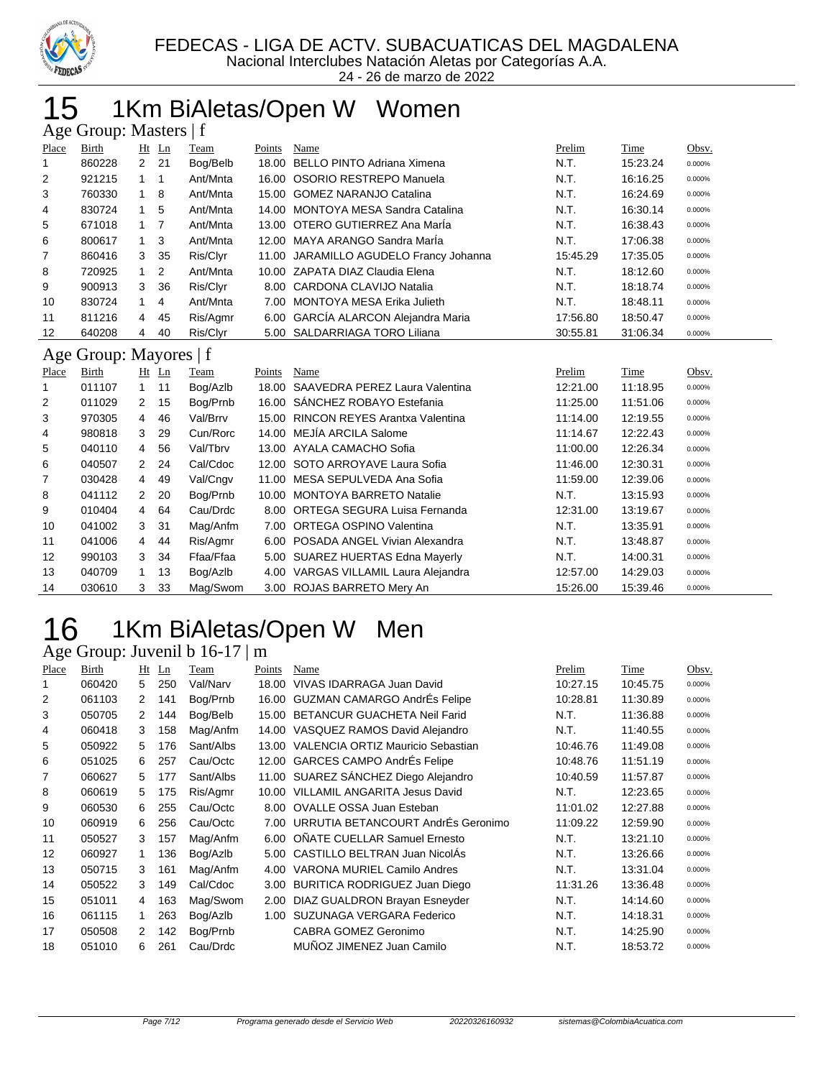

24 - 26 de marzo de 2022

#### 15 1Km BiAletas/Open W Women  $\mathbf{m}$  Masters | f

|       | $\Delta \xi$ COLOUP. Masicis   1 |                |         |           |        |                                      |          |          |        |
|-------|----------------------------------|----------------|---------|-----------|--------|--------------------------------------|----------|----------|--------|
| Place | Birth                            |                | $Ht$ Ln | Team      | Points | Name                                 | Prelim   | Time     | Obsv.  |
| 1     | 860228                           | $\overline{2}$ | 21      | Bog/Belb  |        | 18.00 BELLO PINTO Adriana Ximena     | N.T.     | 15:23.24 | 0.000% |
| 2     | 921215                           | 1              | 1       | Ant/Mnta  |        | 16.00 OSORIO RESTREPO Manuela        | N.T.     | 16:16.25 | 0.000% |
| 3     | 760330                           | 1              | 8       | Ant/Mnta  | 15.00  | <b>GOMEZ NARANJO Catalina</b>        | N.T.     | 16:24.69 | 0.000% |
| 4     | 830724                           | 1              | 5       | Ant/Mnta  |        | 14.00 MONTOYA MESA Sandra Catalina   | N.T.     | 16:30.14 | 0.000% |
| 5     | 671018                           | 1              | 7       | Ant/Mnta  |        | 13.00 OTERO GUTIERREZ Ana María      | N.T.     | 16:38.43 | 0.000% |
| 6     | 800617                           | 1              | 3       | Ant/Mnta  |        | 12.00 MAYA ARANGO Sandra Marla       | N.T.     | 17:06.38 | 0.000% |
| 7     | 860416                           | 3              | 35      | Ris/Clyr  | 11.00  | JARAMILLO AGUDELO Francy Johanna     | 15:45.29 | 17:35.05 | 0.000% |
| 8     | 720925                           | 1              | 2       | Ant/Mnta  |        | 10.00 ZAPATA DIAZ Claudia Elena      | N.T.     | 18:12.60 | 0.000% |
| 9     | 900913                           | 3              | 36      | Ris/Clyr  |        | 8.00 CARDONA CLAVIJO Natalia         | N.T.     | 18:18.74 | 0.000% |
| 10    | 830724                           | 1              | 4       | Ant/Mnta  | 7.00   | MONTOYA MESA Erika Julieth           | N.T.     | 18:48.11 | 0.000% |
| 11    | 811216                           | 4              | 45      | Ris/Agmr  | 6.00   | GARCÍA ALARCON Alejandra Maria       | 17:56.80 | 18:50.47 | 0.000% |
| 12    | 640208                           | 4              | 40      | Ris/Clyr  |        | 5.00 SALDARRIAGA TORO Liliana        | 30:55.81 | 31:06.34 | 0.000% |
|       | Age Group: Mayores   f           |                |         |           |        |                                      |          |          |        |
| Place | Birth                            |                | $Ht$ Ln | Team      | Points | Name                                 | Prelim   | Time     | Obsv.  |
| 1     | 011107                           | $\mathbf{1}$   | 11      | Bog/Azlb  |        | 18.00 SAAVEDRA PEREZ Laura Valentina | 12:21.00 | 11:18.95 | 0.000% |
| 2     | 011029                           | 2              | 15      | Bog/Prnb  | 16.00  | SÁNCHEZ ROBAYO Estefania             | 11:25.00 | 11:51.06 | 0.000% |
| 3     | 970305                           | 4              | 46      | Val/Brrv  |        | 15.00 RINCON REYES Arantxa Valentina | 11:14.00 | 12:19.55 | 0.000% |
| 4     | 980818                           | 3              | 29      | Cun/Rorc  |        | 14.00 MEJÍA ARCILA Salome            | 11:14.67 | 12:22.43 | 0.000% |
| 5     | 040110                           | 4              | 56      | Val/Tbrv  |        | 13.00 AYALA CAMACHO Sofia            | 11:00.00 | 12:26.34 | 0.000% |
| 6     | 040507                           | 2              | 24      | Cal/Cdoc  | 12.00  | SOTO ARROYAVE Laura Sofia            | 11:46.00 | 12:30.31 | 0.000% |
| 7     | 030428                           | 4              | 49      | Val/Cngv  |        | 11.00 MESA SEPULVEDA Ana Sofia       | 11:59.00 | 12:39.06 | 0.000% |
| 8     | 041112                           | 2              | 20      | Bog/Prnb  |        |                                      |          |          | 0.000% |
|       |                                  |                |         |           |        | 10.00 MONTOYA BARRETO Natalie        | N.T.     | 13:15.93 |        |
| 9     | 010404                           | 4              | 64      | Cau/Drdc  |        | 8.00 ORTEGA SEGURA Luisa Fernanda    | 12:31.00 | 13:19.67 | 0.000% |
| 10    | 041002                           | 3              | 31      | Mag/Anfm  | 7.00   | <b>ORTEGA OSPINO Valentina</b>       | N.T.     | 13:35.91 | 0.000% |
| 11    | 041006                           | 4              | 44      | Ris/Agmr  |        | 6.00 POSADA ANGEL Vivian Alexandra   | N.T.     | 13:48.87 | 0.000% |
| 12    | 990103                           | 3              | 34      | Ffaa/Ffaa |        | 5.00 SUAREZ HUERTAS Edna Mayerly     | N.T.     | 14:00.31 | 0.000% |
| 13    | 040709                           | 1              | 13      | Bog/Azlb  |        | 4.00 VARGAS VILLAMIL Laura Alejandra | 12:57.00 | 14:29.03 | 0.000% |

#### 1Km BiAletas/Open W Men 16 1Km BiAletas/<br>Age Group: Juvenil b 16-17 | m

| Place | Birth  | Ht | Ln  | Team      | Points | Name                                    | Prelim   | Time     | Obsv.  |
|-------|--------|----|-----|-----------|--------|-----------------------------------------|----------|----------|--------|
|       | 060420 | 5  | 250 | Val/Narv  | 18.00  | VIVAS IDARRAGA Juan David               | 10:27.15 | 10:45.75 | 0.000% |
| 2     | 061103 | 2  | 141 | Bog/Prnb  |        | 16.00 GUZMAN CAMARGO AndrÉs Felipe      | 10:28.81 | 11:30.89 | 0.000% |
| 3     | 050705 | 2  | 144 | Bog/Belb  | 15.00  | <b>BETANCUR GUACHETA Neil Farid</b>     | N.T.     | 11:36.88 | 0.000% |
| 4     | 060418 | 3  | 158 | Mag/Anfm  |        | 14.00 VASQUEZ RAMOS David Alejandro     | N.T.     | 11:40.55 | 0.000% |
| 5     | 050922 | 5  | 176 | Sant/Albs |        | 13.00 VALENCIA ORTIZ Mauricio Sebastian | 10:46.76 | 11:49.08 | 0.000% |
| 6     | 051025 | 6  | 257 | Cau/Octc  |        | 12.00 GARCES CAMPO AndrEs Felipe        | 10:48.76 | 11:51.19 | 0.000% |
| 7     | 060627 | 5  | 177 | Sant/Albs |        | 11.00 SUAREZ SÁNCHEZ Diego Alejandro    | 10:40.59 | 11:57.87 | 0.000% |
| 8     | 060619 | 5  | 175 | Ris/Agmr  |        | 10.00 VILLAMIL ANGARITA Jesus David     | N.T.     | 12:23.65 | 0.000% |
| 9     | 060530 | 6  | 255 | Cau/Octc  |        | 8.00 OVALLE OSSA Juan Esteban           | 11:01.02 | 12:27.88 | 0.000% |
| 10    | 060919 | 6  | 256 | Cau/Octc  |        | 7.00 URRUTIA BETANCOURT AndrÉs Geronimo | 11:09.22 | 12:59.90 | 0.000% |
| 11    | 050527 | 3  | 157 | Mag/Anfm  | 6.00   | OÑATE CUELLAR Samuel Ernesto            | N.T.     | 13:21.10 | 0.000% |
| 12    | 060927 |    | 136 | Bog/Azlb  |        | 5.00 CASTILLO BELTRAN Juan NicolAs      | N.T.     | 13:26.66 | 0.000% |
| 13    | 050715 | 3  | 161 | Mag/Anfm  | 4.00   | VARONA MURIEL Camilo Andres             | N.T.     | 13:31.04 | 0.000% |
| 14    | 050522 | 3  | 149 | Cal/Cdoc  | 3.00   | BURITICA RODRIGUEZ Juan Diego           | 11:31.26 | 13:36.48 | 0.000% |
| 15    | 051011 | 4  | 163 | Mag/Swom  | 2.00   | DIAZ GUALDRON Brayan Esneyder           | N.T.     | 14:14.60 | 0.000% |
| 16    | 061115 | 1  | 263 | Bog/Azlb  | 1.00   | SUZUNAGA VERGARA Federico               | N.T.     | 14:18.31 | 0.000% |
| 17    | 050508 | 2  | 142 | Bog/Prnb  |        | CABRA GOMEZ Geronimo                    | N.T.     | 14:25.90 | 0.000% |
| 18    | 051010 | 6  | 261 | Cau/Drdc  |        | MUÑOZ JIMENEZ Juan Camilo               | N.T.     | 18:53.72 | 0.000% |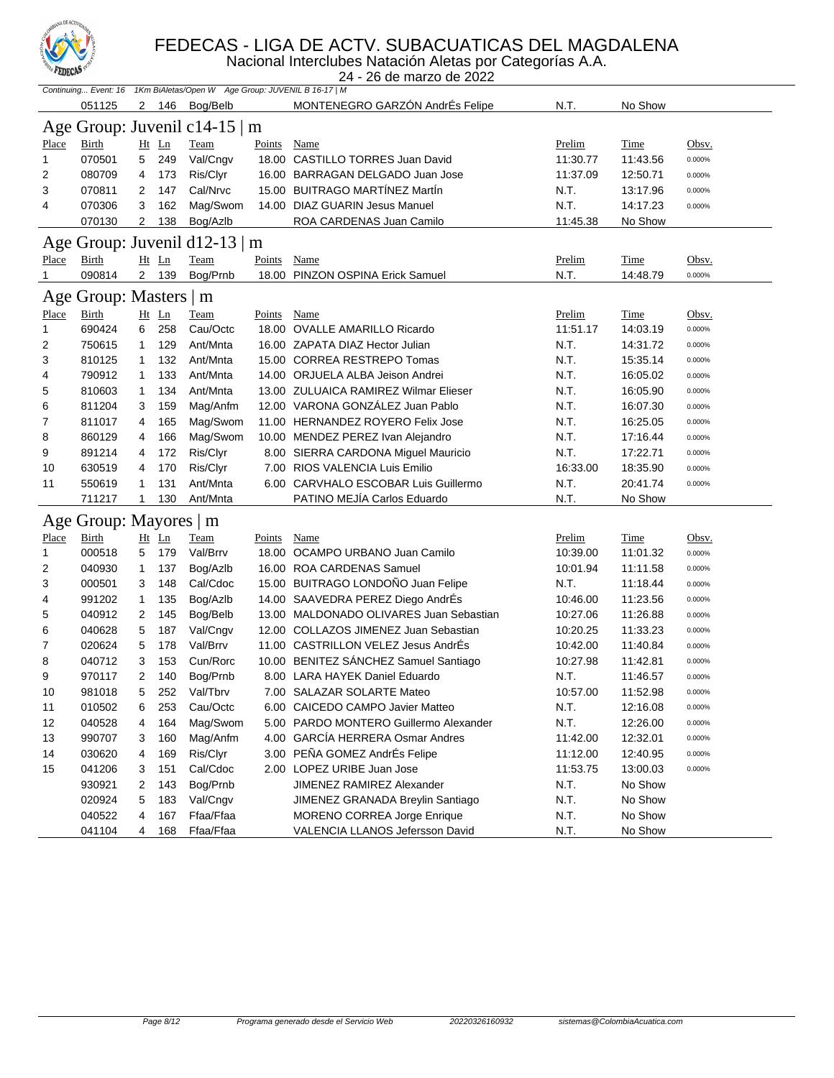

#### FEDECAS - LIGA DE ACTV. SUBACUATICAS DEL MAGDALENA

Nacional Interclubes Natación Aletas por Categorías A.A.

|              | <b>A CULCURA</b><br>24 - 26 de marzo de 2022 |              |       |                                                                         |             |                                         |          |             |           |  |  |
|--------------|----------------------------------------------|--------------|-------|-------------------------------------------------------------------------|-------------|-----------------------------------------|----------|-------------|-----------|--|--|
|              |                                              |              |       | Continuing Event: 16 1Km BiAletas/Open W Age Group: JUVENIL B 16-17   M |             |                                         |          |             |           |  |  |
|              | 051125                                       |              | 2 146 | Bog/Belb                                                                |             | MONTENEGRO GARZÓN AndrÉs Felipe         | N.T.     | No Show     |           |  |  |
|              |                                              |              |       | Age Group: Juvenil c14-15   m                                           |             |                                         |          |             |           |  |  |
| <b>Place</b> | Birth                                        |              | Ht Ln | Team                                                                    | Points      | Name                                    | Prelim   | Time        | Obsv.     |  |  |
| 1            | 070501                                       | 5            | 249   | Val/Cngv                                                                |             | 18.00 CASTILLO TORRES Juan David        | 11:30.77 | 11:43.56    | 0.000%    |  |  |
| 2            | 080709                                       | 4            | 173   | Ris/Clyr                                                                |             | 16.00 BARRAGAN DELGADO Juan Jose        | 11:37.09 | 12:50.71    | 0.000%    |  |  |
| 3            | 070811                                       | 2            | 147   | Cal/Nrvc                                                                |             | 15.00 BUITRAGO MARTINEZ Martin          | N.T.     | 13:17.96    | 0.000%    |  |  |
| 4            | 070306                                       | 3            | 162   | Mag/Swom                                                                |             | 14.00 DIAZ GUARIN Jesus Manuel          | N.T.     | 14:17.23    | 0.000%    |  |  |
|              | 070130                                       | 2            | 138   | Bog/Azlb                                                                |             | ROA CARDENAS Juan Camilo                | 11:45.38 | No Show     |           |  |  |
|              |                                              |              |       | Age Group: Juvenil d12-13   m                                           |             |                                         |          |             |           |  |  |
| <b>Place</b> | <b>Birth</b>                                 |              | Ht Ln | <b>Team</b>                                                             | Points      | Name                                    | Prelim   | <u>Time</u> | Obsv.     |  |  |
| 1            | 090814                                       |              | 2 139 | Bog/Prnb                                                                |             | 18.00 PINZON OSPINA Erick Samuel        | N.T.     | 14:48.79    | 0.000%    |  |  |
|              | Age Group: Masters   m                       |              |       |                                                                         |             |                                         |          |             |           |  |  |
| <b>Place</b> | Birth                                        |              | Ht Ln | <b>Team</b>                                                             | Points Name |                                         | Prelim   | <u>Time</u> | Obsv.     |  |  |
| 1            | 690424                                       | 6            | 258   | Cau/Octc                                                                |             | 18.00 OVALLE AMARILLO Ricardo           | 11:51.17 | 14:03.19    | 0.000%    |  |  |
| 2            | 750615                                       | 1            | 129   | Ant/Mnta                                                                |             | 16.00 ZAPATA DIAZ Hector Julian         | N.T.     | 14:31.72    | 0.000%    |  |  |
| 3            | 810125                                       | 1            | 132   | Ant/Mnta                                                                |             | 15.00 CORREA RESTREPO Tomas             | N.T.     | 15:35.14    | 0.000%    |  |  |
| 4            | 790912                                       | $\mathbf{1}$ | 133   | Ant/Mnta                                                                |             | 14.00 ORJUELA ALBA Jeison Andrei        | N.T.     | 16:05.02    | 0.000%    |  |  |
| 5            | 810603                                       | $\mathbf{1}$ | 134   | Ant/Mnta                                                                |             | 13.00 ZULUAICA RAMIREZ Wilmar Elieser   | N.T.     | 16:05.90    | 0.000%    |  |  |
| 6            | 811204                                       | 3            | 159   | Mag/Anfm                                                                |             | 12.00 VARONA GONZÁLEZ Juan Pablo        | N.T.     | 16:07.30    | 0.000%    |  |  |
| 7            | 811017                                       | 4            | 165   | Mag/Swom                                                                |             | 11.00 HERNANDEZ ROYERO Felix Jose       | N.T.     | 16:25.05    | 0.000%    |  |  |
| 8            | 860129                                       | 4            | 166   | Mag/Swom                                                                |             | 10.00 MENDEZ PEREZ Ivan Alejandro       | N.T.     | 17:16.44    | 0.000%    |  |  |
| 9            | 891214                                       | 4            | 172   | Ris/Clyr                                                                |             | 8.00 SIERRA CARDONA Miguel Mauricio     | N.T.     | 17:22.71    | 0.000%    |  |  |
| 10           | 630519                                       | 4            | 170   | Ris/Clyr                                                                |             | 7.00 RIOS VALENCIA Luis Emilio          | 16:33.00 | 18:35.90    | 0.000%    |  |  |
| 11           | 550619                                       | 1            | 131   | Ant/Mnta                                                                |             | 6.00 CARVHALO ESCOBAR Luis Guillermo    | N.T.     | 20:41.74    | 0.000%    |  |  |
|              | 711217                                       | 1            | 130   | Ant/Mnta                                                                |             | PATINO MEJÍA Carlos Eduardo             | N.T.     | No Show     |           |  |  |
|              | Age Group: Mayores   m                       |              |       |                                                                         |             |                                         |          |             |           |  |  |
| <b>Place</b> | <b>Birth</b>                                 |              | Ht Ln | <b>Team</b>                                                             | Points      | Name                                    | Prelim   | <b>Time</b> | Obsv.     |  |  |
| 1            | 000518                                       | 5            | 179   | Val/Brrv                                                                |             | 18.00 OCAMPO URBANO Juan Camilo         | 10:39.00 | 11:01.32    | 0.000%    |  |  |
| 2            | 040930                                       | $\mathbf{1}$ | 137   | Bog/Azlb                                                                |             | 16.00 ROA CARDENAS Samuel               | 10:01.94 | 11:11.58    | 0.000%    |  |  |
| 3            | 000501                                       | 3            | 148   | Cal/Cdoc                                                                |             | 15.00 BUITRAGO LONDOÑO Juan Felipe      | N.T.     | 11:18.44    | 0.000%    |  |  |
| 4            | 991202                                       | $\mathbf{1}$ | 135   | Bog/Azlb                                                                |             | 14.00 SAAVEDRA PEREZ Diego AndrÉs       | 10:46.00 | 11:23.56    | 0.000%    |  |  |
| 5            | 040912                                       | 2            | 145   | Bog/Belb                                                                |             | 13.00 MALDONADO OLIVARES Juan Sebastian | 10:27.06 | 11:26.88    | 0.000%    |  |  |
| 6            | 040628                                       | 5            | 187   | Val/Cngv                                                                |             | 12.00 COLLAZOS JIMENEZ Juan Sebastian   | 10:20.25 | 11:33.23    | 0.000%    |  |  |
| 7            | 020624                                       | 5            | 178   | Val/Brrv                                                                |             | 11.00 CASTRILLON VELEZ Jesus AndrÉs     | 10:42.00 | 11:40.84    | 0.000%    |  |  |
| 8            | 040712                                       | 3            | 153   | Cun/Rorc                                                                |             | 10.00 BENITEZ SÁNCHEZ Samuel Santiago   | 10:27.98 | 11:42.81    | 0.000%    |  |  |
| 9            | 970117                                       | 2            | 140   | Bog/Prnb                                                                |             | 8.00 LARA HAYEK Daniel Eduardo          | N.T.     | 11:46.57    | 0.000%    |  |  |
| 10           | 981018                                       | 5            | 252   | Val/Tbrv                                                                |             | 7.00 SALAZAR SOLARTE Mateo              | 10:57.00 | 11:52.98    | 0.000%    |  |  |
| 11           | 010502                                       | 6            | 253   | Cau/Octc                                                                |             | 6.00 CAICEDO CAMPO Javier Matteo        | N.T.     | 12:16.08    | 0.000%    |  |  |
| 12           | 040528                                       | 4            | 164   | Mag/Swom                                                                |             | 5.00 PARDO MONTERO Guillermo Alexander  | N.T.     | 12:26.00    | $0.000\%$ |  |  |
| 13           | 990707                                       | 3            | 160   | Mag/Anfm                                                                |             | 4.00 GARCÍA HERRERA Osmar Andres        | 11:42.00 | 12:32.01    | $0.000\%$ |  |  |
| 14           | 030620                                       | 4            | 169   | Ris/Clyr                                                                |             | 3.00 PEÑA GOMEZ AndrÉs Felipe           | 11:12.00 | 12:40.95    | $0.000\%$ |  |  |
| 15           | 041206                                       | 3            | 151   | Cal/Cdoc                                                                |             | 2.00 LOPEZ URIBE Juan Jose              | 11:53.75 | 13:00.03    | 0.000%    |  |  |
|              | 930921                                       | 2            | 143   | Bog/Prnb                                                                |             | JIMENEZ RAMIREZ Alexander               | N.T.     | No Show     |           |  |  |
|              | 020924                                       | 5            | 183   | Val/Cngv                                                                |             | JIMENEZ GRANADA Breylin Santiago        | N.T.     | No Show     |           |  |  |
|              | 040522                                       | 4            | 167   | Ffaa/Ffaa                                                               |             | MORENO CORREA Jorge Enrique             | N.T.     | No Show     |           |  |  |
|              | 041104                                       | 4            | 168   | Ffaa/Ffaa                                                               |             | VALENCIA LLANOS Jefersson David         | N.T.     | No Show     |           |  |  |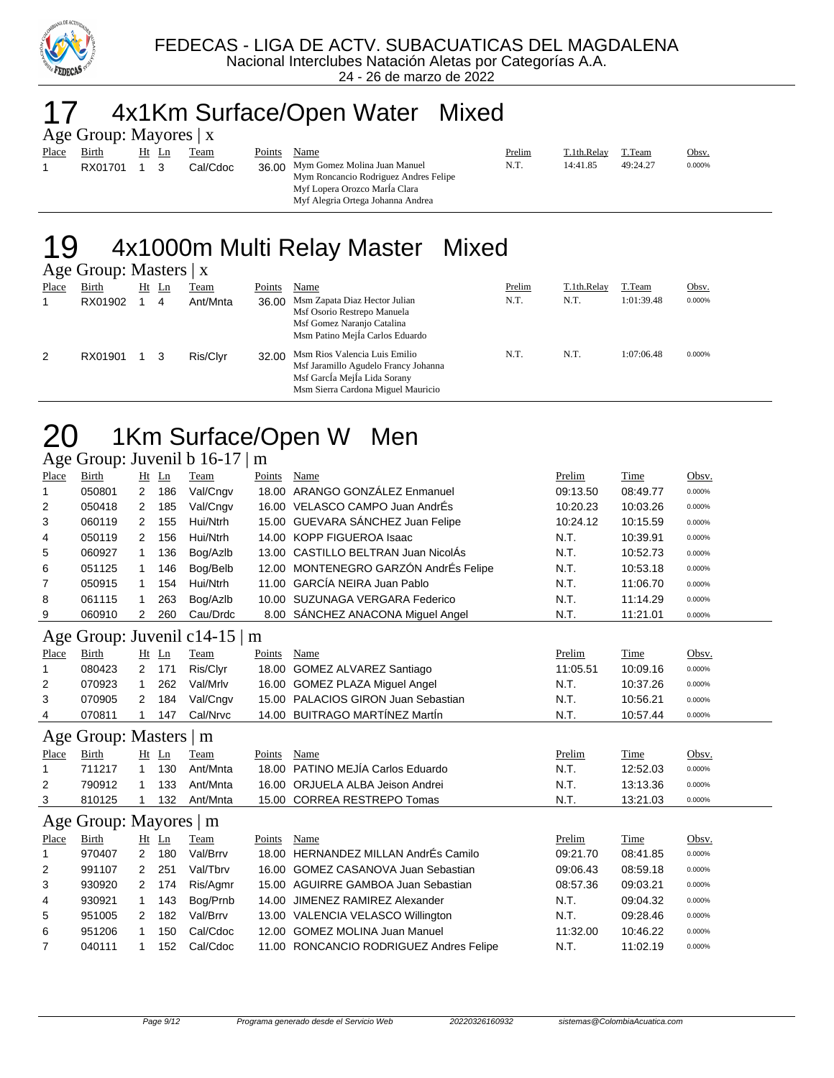

### 17 4x1Km Surface/Open Water Mixed

|                | Age Group: Mayores $ x $ |  |  |
|----------------|--------------------------|--|--|
|                | Place Birth Ht Ln Team   |  |  |
| $\overline{1}$ | RX01701 1 3 Cal/Cdoc     |  |  |

Mym Roncancio Rodriguez Andres Felipe

Myf Lopera Orozco MarÍa Clara Myf Alegria Ortega Johanna Andrea

Points Name **Prelim** T.1th.Relay T.Team Obsv. 36.00 Mym Gomez Molina Juan Manuel N.T. 14:41.85 49:24.27 0.000%

#### 19 4x1000m Multi Relay Master Mixed Age Group: Masters | x

|       | $1.150$ $0.04$ $0.11$ |       |             |        |                                                                                                                                             |        |             |            |        |
|-------|-----------------------|-------|-------------|--------|---------------------------------------------------------------------------------------------------------------------------------------------|--------|-------------|------------|--------|
| Place | Birth                 | Ht Ln | <u>Team</u> | Points | Name                                                                                                                                        | Prelim | T.1th.Relay | T.Team     | Obsv.  |
|       | RX01902               | 4     | Ant/Mnta    | 36.00  | Msm Zapata Diaz Hector Julian<br>Msf Osorio Restrepo Manuela<br>Msf Gomez Naranjo Catalina<br>Msm Patino Mejla Carlos Eduardo               | N.T.   | N.T.        | 1:01:39.48 | 0.000% |
| 2     | RX01901               |       | Ris/Clvr    | 32.00  | Msm Rios Valencia Luis Emilio<br>Msf Jaramillo Agudelo Francy Johanna<br>Msf García Mejía Lida Sorany<br>Msm Sierra Cardona Miguel Mauricio | N.T.   | N.T.        | 1:07:06.48 | 0.000% |

### 20 1Km Surface/Open W Men

Age Group: Juvenil b 16-17 | m

| Place                         | <b>Birth</b>           | Ht             | Ln    | Team     | Points | Name                                  | Prelim   | Time     | Obsv.  |  |  |
|-------------------------------|------------------------|----------------|-------|----------|--------|---------------------------------------|----------|----------|--------|--|--|
| 1                             | 050801                 | $\overline{2}$ | 186   | Val/Cngv |        | 18.00 ARANGO GONZÁLEZ Enmanuel        | 09:13.50 | 08:49.77 | 0.000% |  |  |
| 2                             | 050418                 | 2              | 185   | Val/Cngv |        | 16.00 VELASCO CAMPO Juan AndrÉs       | 10:20.23 | 10:03.26 | 0.000% |  |  |
| 3                             | 060119                 | 2              | 155   | Hui/Ntrh |        | 15.00 GUEVARA SÁNCHEZ Juan Felipe     | 10:24.12 | 10:15.59 | 0.000% |  |  |
| 4                             | 050119                 | 2              | 156   | Hui/Ntrh |        | 14.00 KOPP FIGUEROA Isaac             | N.T.     | 10:39.91 | 0.000% |  |  |
| 5                             | 060927                 | 1              | 136   | Bog/Azlb |        | 13.00 CASTILLO BELTRAN Juan NicolAs   | N.T.     | 10:52.73 | 0.000% |  |  |
| 6                             | 051125                 | 1              | 146   | Bog/Belb |        | 12.00 MONTENEGRO GARZÓN AndrÉs Felipe | N.T.     | 10:53.18 | 0.000% |  |  |
| 7                             | 050915                 | 1              | 154   | Hui/Ntrh |        | 11.00 GARCÍA NEIRA Juan Pablo         | N.T.     | 11:06.70 | 0.000% |  |  |
| 8                             | 061115                 | 1              | 263   | Bog/Azlb |        | 10.00 SUZUNAGA VERGARA Federico       | N.T.     | 11:14.29 | 0.000% |  |  |
| 9                             | 060910                 | 2              | 260   | Cau/Drdc |        | 8.00 SÁNCHEZ ANACONA Miguel Angel     | N.T.     | 11:21.01 | 0.000% |  |  |
| Age Group: Juvenil c14-15   m |                        |                |       |          |        |                                       |          |          |        |  |  |
| Place                         | Birth                  |                | Ht Ln | Team     | Points | Name                                  | Prelim   | Time     | Obsv.  |  |  |
| 1                             | 080423                 | 2              | 171   | Ris/Clyr |        | 18.00 GOMEZ ALVAREZ Santiago          | 11:05.51 | 10:09.16 | 0.000% |  |  |
| 2                             | 070923                 | 1              | 262   | Val/Mrlv |        | 16.00 GOMEZ PLAZA Miquel Angel        | N.T.     | 10:37.26 | 0.000% |  |  |
| 3                             | 070905                 | 2              | 184   | Val/Cngv |        | 15.00 PALACIOS GIRON Juan Sebastian   | N.T.     | 10:56.21 | 0.000% |  |  |
| 4                             | 070811                 | 1              | 147   | Cal/Nrvc |        | 14.00 BUITRAGO MARTÍNEZ MartÍn        | N.T.     | 10:57.44 | 0.000% |  |  |
|                               | Age Group: Masters   m |                |       |          |        |                                       |          |          |        |  |  |
| Place                         | <b>Birth</b>           |                | Ht Ln | Team     | Points | Name                                  | Prelim   | Time     | Obsv.  |  |  |
| $\mathbf 1$                   | 711217                 | 1              | 130   | Ant/Mnta |        | 18.00 PATINO MEJÍA Carlos Eduardo     | N.T.     | 12:52.03 | 0.000% |  |  |
| 2                             | 790912                 | 1              | 133   | Ant/Mnta |        | 16.00 ORJUELA ALBA Jeison Andrei      | N.T.     | 13:13.36 | 0.000% |  |  |
| 3                             | 810125                 | 1              | 132   | Ant/Mnta |        | 15.00 CORREA RESTREPO Tomas           | N.T.     | 13:21.03 | 0.000% |  |  |
|                               | Age Group: Mayores   m |                |       |          |        |                                       |          |          |        |  |  |
| Place                         | <b>Birth</b>           |                | Ht Ln | Team     | Points | Name                                  | Prelim   | Time     | Obsv.  |  |  |
| 1                             | 970407                 | 2              | 180   | Val/Brrv | 18.00  | <b>HERNANDEZ MILLAN AndrÉs Camilo</b> | 09:21.70 | 08:41.85 | 0.000% |  |  |
| 2                             | 991107                 | 2              | 251   | Val/Tbrv |        | 16.00 GOMEZ CASANOVA Juan Sebastian   | 09:06.43 | 08:59.18 | 0.000% |  |  |
| 3                             | 930920                 | 2              | 174   | Ris/Agmr |        | 15.00 AGUIRRE GAMBOA Juan Sebastian   | 08:57.36 | 09:03.21 | 0.000% |  |  |
| 4                             | 930921                 | 1              | 143   | Bog/Prnb |        | 14.00 JIMENEZ RAMIREZ Alexander       | N.T.     | 09:04.32 | 0.000% |  |  |
| 5                             | 951005                 | 2              | 182   | Val/Brrv |        | 13.00 VALENCIA VELASCO Willington     | N.T.     | 09:28.46 | 0.000% |  |  |

6 951206 1 150 Cal/Cdoc 12.00 GOMEZ MOLINA Juan Manuel 11:32.00 10:46.22 0.000% 7 040111 1 152 Cal/Cdoc 11.00 RONCANCIO RODRIGUEZ Andres Felipe N.T. 11:02.19 0.000%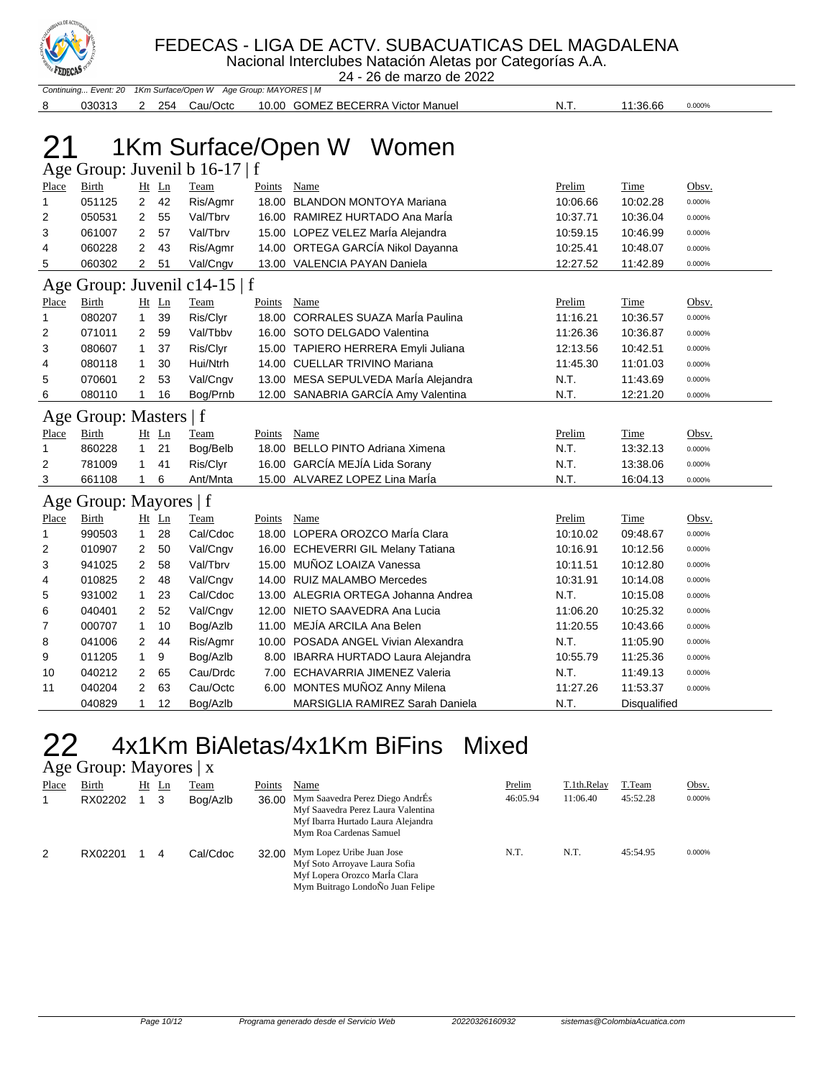

Nacional Interclubes Natación Aletas por Categorías A.A. 24 - 26 de marzo de 2022

|              |                        |                |         | Continuing Event: 20 1Km Surface/Open W Age Group: MAYORES   M |             |                                      |          |              |        |
|--------------|------------------------|----------------|---------|----------------------------------------------------------------|-------------|--------------------------------------|----------|--------------|--------|
| 8            | 030313                 |                | 2 254   | Cau/Octc                                                       |             | 10.00 GOMEZ BECERRA Victor Manuel    | N.T.     | 11:36.66     | 0.000% |
|              |                        |                |         |                                                                |             |                                      |          |              |        |
|              |                        |                |         |                                                                |             |                                      |          |              |        |
|              |                        |                |         |                                                                |             | 1Km Surface/Open W Women             |          |              |        |
|              |                        |                |         | Age Group: Juvenil b 16-17   f                                 |             |                                      |          |              |        |
| Place        | Birth                  |                | Ht Ln   | Team                                                           | Points      | Name                                 | Prelim   | Time         | Obsv.  |
| 1            | 051125                 | $\overline{2}$ | 42      | Ris/Agmr                                                       |             | 18.00 BLANDON MONTOYA Mariana        | 10:06.66 | 10:02.28     | 0.000% |
| 2            | 050531                 | 2              | 55      | Val/Tbrv                                                       |             | 16.00 RAMIREZ HURTADO Ana María      | 10:37.71 | 10:36.04     | 0.000% |
| 3            | 061007                 | 2              | 57      | Val/Tbrv                                                       |             | 15.00 LOPEZ VELEZ MarÍa Alejandra    | 10:59.15 | 10:46.99     | 0.000% |
| 4            | 060228                 | 2              | 43      | Ris/Agmr                                                       |             | 14.00 ORTEGA GARCÍA Nikol Dayanna    | 10:25.41 | 10:48.07     | 0.000% |
| 5            | 060302                 | 2              | 51      | Val/Cngv                                                       |             | 13.00 VALENCIA PAYAN Daniela         | 12:27.52 | 11:42.89     | 0.000% |
|              |                        |                |         | Age Group: Juvenil c14-15   f                                  |             |                                      |          |              |        |
| <b>Place</b> | <u>Birth</u>           |                | Ht Ln   | <b>Team</b>                                                    | Points Name |                                      | Prelim   | <b>Time</b>  | Obsv.  |
| $\mathbf{1}$ | 080207                 | $\mathbf{1}$   | 39      | Ris/Clyr                                                       |             | 18.00 CORRALES SUAZA Maria Paulina   | 11:16.21 | 10:36.57     | 0.000% |
| 2            | 071011                 | 2              | 59      | Val/Tbbv                                                       |             | 16.00 SOTO DELGADO Valentina         | 11:26.36 | 10:36.87     | 0.000% |
| 3            | 080607                 | $\mathbf{1}$   | 37      | Ris/Clyr                                                       |             | 15.00 TAPIERO HERRERA Emyli Juliana  | 12:13.56 | 10:42.51     | 0.000% |
| 4            | 080118                 | $\mathbf{1}$   | 30      | Hui/Ntrh                                                       |             | 14.00 CUELLAR TRIVINO Mariana        | 11:45.30 | 11:01.03     | 0.000% |
| 5            | 070601                 | 2              | 53      | Val/Cngv                                                       |             | 13.00 MESA SEPULVEDA MarÍa Alejandra | N.T.     | 11:43.69     | 0.000% |
| 6            | 080110                 | 1              | 16      | Bog/Prnb                                                       |             | 12.00 SANABRIA GARCÍA Amy Valentina  | N.T.     | 12:21.20     | 0.000% |
|              | Age Group: Masters   f |                |         |                                                                |             |                                      |          |              |        |
| <b>Place</b> | <b>Birth</b>           |                | $Ht$ Ln | Team                                                           | Points      | Name                                 | Prelim   | Time         | Obsv.  |
| 1            | 860228                 | 1              | 21      | Bog/Belb                                                       |             | 18.00 BELLO PINTO Adriana Ximena     | N.T.     | 13:32.13     | 0.000% |
| 2            | 781009                 | $\mathbf{1}$   | 41      | Ris/Clyr                                                       |             | 16.00 GARCÍA MEJÍA Lida Sorany       | N.T.     | 13:38.06     | 0.000% |
| 3            | 661108                 | 1              | 6       | Ant/Mnta                                                       |             | 15.00 ALVAREZ LOPEZ Lina Marla       | N.T.     | 16:04.13     | 0.000% |
|              | Age Group: Mayores   f |                |         |                                                                |             |                                      |          |              |        |
| Place        | Birth                  |                | Ht Ln   | Team                                                           | Points      | Name                                 | Prelim   | Time         | Obsv.  |
| 1            | 990503                 | $\mathbf{1}$   | 28      | Cal/Cdoc                                                       |             | 18.00 LOPERA OROZCO MarÍa Clara      | 10:10.02 | 09:48.67     | 0.000% |
| 2            | 010907                 | 2              | 50      | Val/Cngv                                                       |             | 16.00 ECHEVERRI GIL Melany Tatiana   | 10:16.91 | 10:12.56     | 0.000% |
| 3            | 941025                 | 2              | 58      | Val/Tbrv                                                       |             | 15.00 MUÑOZ LOAIZA Vanessa           | 10:11.51 | 10:12.80     | 0.000% |
| 4            | 010825                 | 2              | 48      | Val/Cngv                                                       |             | 14.00 RUIZ MALAMBO Mercedes          | 10:31.91 | 10:14.08     | 0.000% |
| 5            | 931002                 | $\mathbf{1}$   | 23      | Cal/Cdoc                                                       |             | 13.00 ALEGRIA ORTEGA Johanna Andrea  | N.T.     | 10:15.08     | 0.000% |
| 6            | 040401                 | 2              | 52      | Val/Cngv                                                       |             | 12.00 NIETO SAAVEDRA Ana Lucia       | 11:06.20 | 10:25.32     | 0.000% |
| 7            | 000707                 | $\mathbf{1}$   | 10      | Bog/Azlb                                                       |             | 11.00 MEJÍA ARCILA Ana Belen         | 11:20.55 | 10:43.66     | 0.000% |
| 8            | 041006                 | 2              | 44      | Ris/Agmr                                                       |             | 10.00 POSADA ANGEL Vivian Alexandra  | N.T.     | 11:05.90     | 0.000% |
| 9            | 011205                 | $\mathbf{1}$   | 9       | Bog/Azlb                                                       |             | 8.00 IBARRA HURTADO Laura Alejandra  | 10:55.79 | 11:25.36     | 0.000% |
| 10           | 040212                 | 2              | 65      | Cau/Drdc                                                       |             | 7.00 ECHAVARRIA JIMENEZ Valeria      | N.T.     | 11:49.13     | 0.000% |
| 11           | 040204                 | 2              | 63      | Cau/Octc                                                       |             | 6.00 MONTES MUÑOZ Anny Milena        | 11:27.26 | 11:53.37     | 0.000% |
|              | 040829                 | $\mathbf{1}$   | 12      | Bog/Azlb                                                       |             | MARSIGLIA RAMIREZ Sarah Daniela      | N.T.     | Disqualified |        |

#### 22 4x1Km BiAletas/4x1Km BiFins Mixed Age Group: Mayores | x

| ٮ     |         |          |          |        |                                                                                                                                        |          |             |          |        |
|-------|---------|----------|----------|--------|----------------------------------------------------------------------------------------------------------------------------------------|----------|-------------|----------|--------|
| Place | Birth   | Ht<br>Ln | Team     | Points | Name                                                                                                                                   | Prelim   | T.1th.Relay | T.Team   | Obsv.  |
|       | RX02202 |          | Bog/Azlb | 36.00  | Mym Saavedra Perez Diego AndrÉs<br>Myf Saavedra Perez Laura Valentina<br>Myf Ibarra Hurtado Laura Alejandra<br>Mym Roa Cardenas Samuel | 46:05.94 | 11:06.40    | 45:52.28 | 0.000% |
| 2     | RX02201 | 4        | Cal/Cdoc | 32.00  | Mym Lopez Uribe Juan Jose<br>Myf Soto Arroyave Laura Sofia<br>Myf Lopera Orozco María Clara<br>Mym Buitrago LondoÑo Juan Felipe        | N.T.     | N.T.        | 45:54.95 | 0.000% |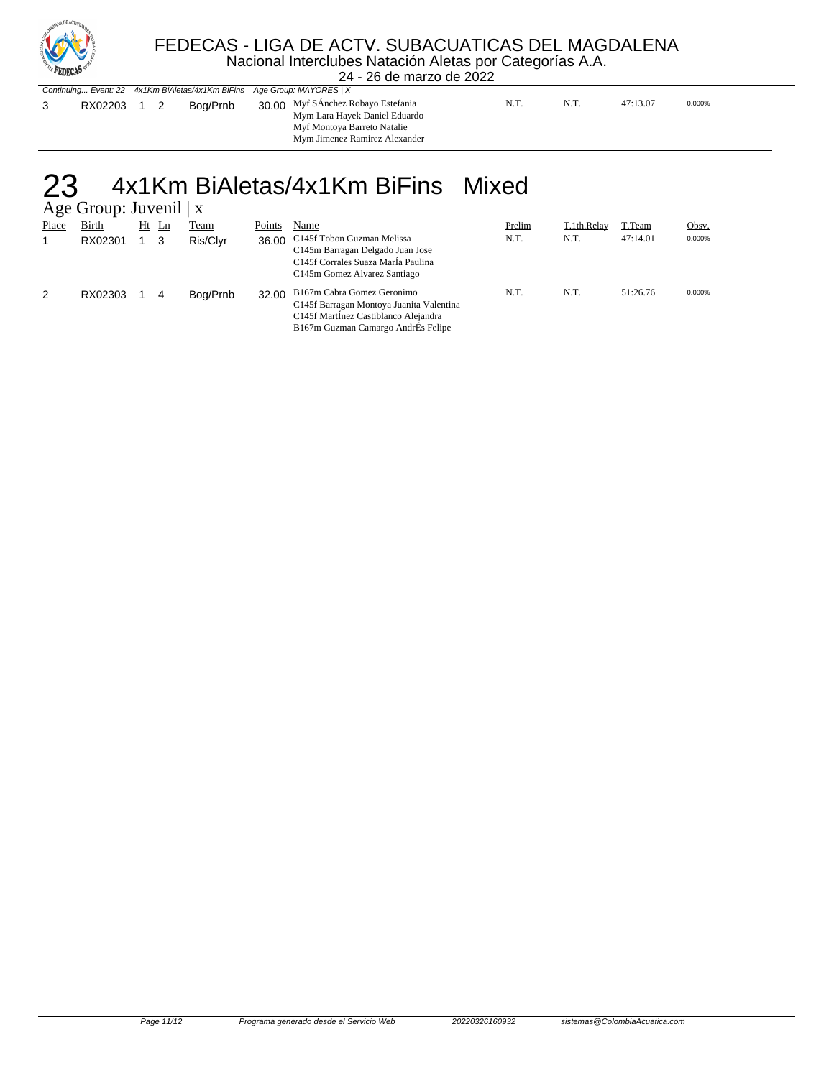

#### FEDECAS - LIGA DE ACTV. SUBACUATICAS DEL MAGDALENA

Nacional Interclubes Natación Aletas por Categorías A.A.

| <b>ALLIENIA</b> |                                                                         |  |          |  | 24 - 26 de marzo de 2022                                                                                                            |  |      |      |          |        |  |
|-----------------|-------------------------------------------------------------------------|--|----------|--|-------------------------------------------------------------------------------------------------------------------------------------|--|------|------|----------|--------|--|
|                 | Continuing Event: 22 4x1Km BiAletas/4x1Km BiFins Age Group: MAYORES   X |  |          |  |                                                                                                                                     |  |      |      |          |        |  |
| RX02203 1       |                                                                         |  | Boa/Prnb |  | 30.00 Myf SÁnchez Robayo Estefania<br>Mym Lara Hayek Daniel Eduardo<br>Myf Montoya Barreto Natalie<br>Mym Jimenez Ramirez Alexander |  | N.T. | N.T. | 47:13.07 | 0.000% |  |

#### 23 4x1Km BiAletas/4x1Km BiFins Mixed  $\mathbf{T}_{\text{source}}$  of  $\mathbf{T}_{\text{true}}$

|       | $A\&C$ UIOUD. JUVEIII   $\Lambda$ |    |                |             |        |                                                                                                                                                      |        |             |          |        |  |  |  |  |
|-------|-----------------------------------|----|----------------|-------------|--------|------------------------------------------------------------------------------------------------------------------------------------------------------|--------|-------------|----------|--------|--|--|--|--|
| Place | <b>Birth</b>                      | Ht | $\mathbf{L}$ n | <b>Team</b> | Points | Name                                                                                                                                                 | Prelim | T.1th.Relay | T.Team   | Obsv.  |  |  |  |  |
|       | RX02301                           |    | 3              | Ris/Clvr    | 36.00  | C145f Tobon Guzman Melissa<br>C145m Barragan Delgado Juan Jose<br>C145f Corrales Suaza María Paulina<br>C145m Gomez Alvarez Santiago                 | N.T.   | N.T.        | 47:14.01 | 0.000% |  |  |  |  |
| 2     | RX02303                           |    | 4              | Bog/Prnb    | 32.00  | B167m Cabra Gomez Geronimo<br>C145f Barragan Montoya Juanita Valentina<br>C145f MartInez Castiblanco Alejandra<br>B167m Guzman Camargo AndrEs Felipe | N.T.   | N.T.        | 51:26.76 | 0.000% |  |  |  |  |